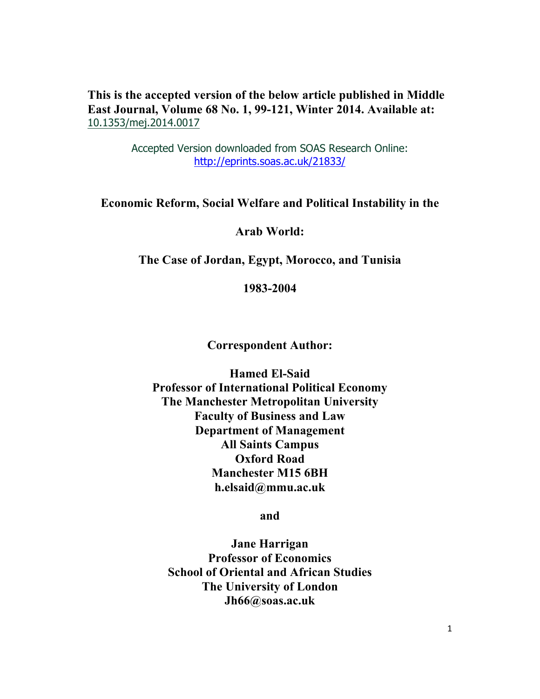**This is the accepted version of the below article published in Middle East Journal, Volume 68 No. 1, 99-121, Winter 2014. Available at:**  10.1353/mej.2014.0017

> Accepted Version downloaded from SOAS Research Online: http://eprints.soas.ac.uk/21833/

# **Economic Reform, Social Welfare and Political Instability in the**

**Arab World:** 

## **The Case of Jordan, Egypt, Morocco, and Tunisia**

**1983-2004**

**Correspondent Author:** 

**Hamed El-Said Professor of International Political Economy The Manchester Metropolitan University Faculty of Business and Law Department of Management All Saints Campus Oxford Road Manchester M15 6BH h.elsaid@mmu.ac.uk**

**and**

**Jane Harrigan Professor of Economics School of Oriental and African Studies The University of London Jh66@soas.ac.uk**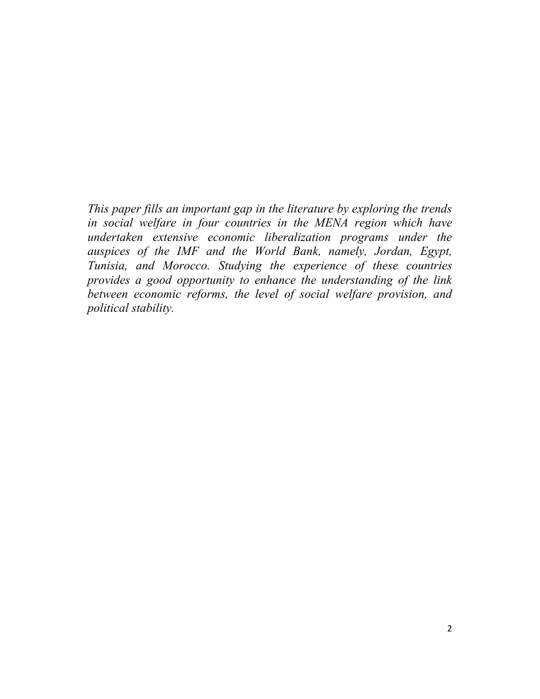*This paper fills an important gap in the literature by exploring the trends in social welfare in four countries in the MENA region which have undertaken extensive economic liberalization programs under the auspices of the IMF and the World Bank, namely, Jordan, Egypt, Tunisia, and Morocco. Studying the experience of these countries provides a good opportunity to enhance the understanding of the link between economic reforms, the level of social welfare provision, and political stability.*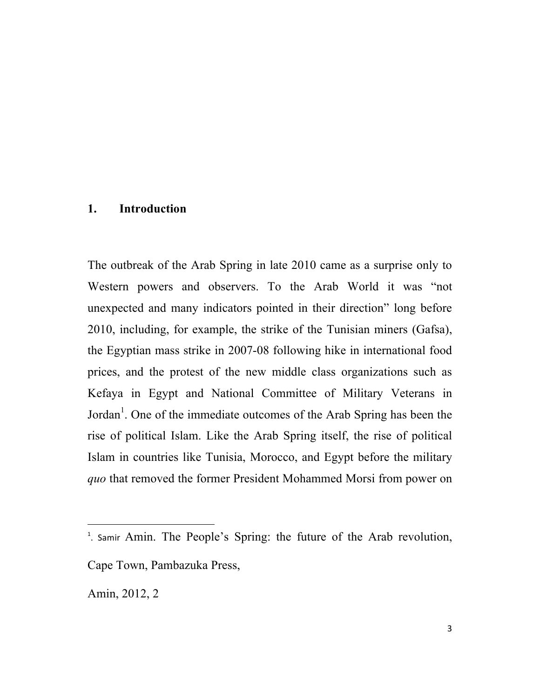#### **1. Introduction**

The outbreak of the Arab Spring in late 2010 came as a surprise only to Western powers and observers. To the Arab World it was "not unexpected and many indicators pointed in their direction" long before 2010, including, for example, the strike of the Tunisian miners (Gafsa), the Egyptian mass strike in 2007-08 following hike in international food prices, and the protest of the new middle class organizations such as Kefaya in Egypt and National Committee of Military Veterans in Jordan<sup>1</sup>. One of the immediate outcomes of the Arab Spring has been the rise of political Islam. Like the Arab Spring itself, the rise of political Islam in countries like Tunisia, Morocco, and Egypt before the military *quo* that removed the former President Mohammed Morsi from power on

Amin, 2012, 2

<sup>&</sup>lt;sup>1</sup>. Samir Amin. The People's Spring: the future of the Arab revolution, Cape Town, Pambazuka Press,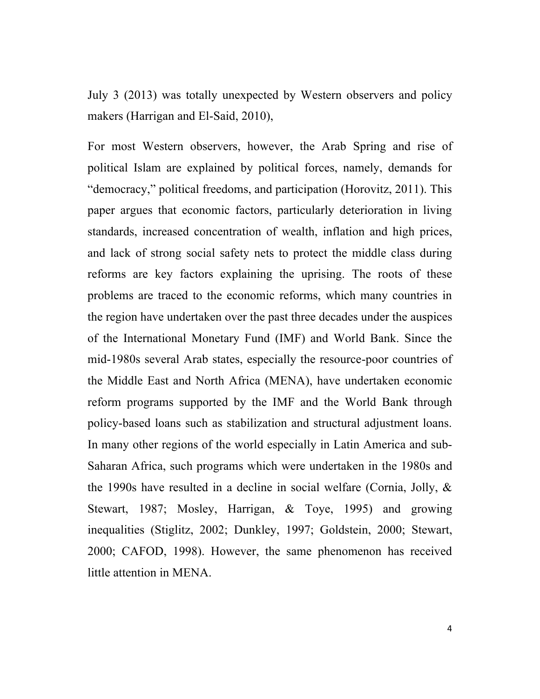July 3 (2013) was totally unexpected by Western observers and policy makers (Harrigan and El-Said, 2010),

For most Western observers, however, the Arab Spring and rise of political Islam are explained by political forces, namely, demands for "democracy," political freedoms, and participation (Horovitz, 2011). This paper argues that economic factors, particularly deterioration in living standards, increased concentration of wealth, inflation and high prices, and lack of strong social safety nets to protect the middle class during reforms are key factors explaining the uprising. The roots of these problems are traced to the economic reforms, which many countries in the region have undertaken over the past three decades under the auspices of the International Monetary Fund (IMF) and World Bank. Since the mid-1980s several Arab states, especially the resource-poor countries of the Middle East and North Africa (MENA), have undertaken economic reform programs supported by the IMF and the World Bank through policy-based loans such as stabilization and structural adjustment loans. In many other regions of the world especially in Latin America and sub-Saharan Africa, such programs which were undertaken in the 1980s and the 1990s have resulted in a decline in social welfare (Cornia, Jolly, & Stewart, 1987; Mosley, Harrigan, & Toye, 1995) and growing inequalities (Stiglitz, 2002; Dunkley, 1997; Goldstein, 2000; Stewart, 2000; CAFOD, 1998). However, the same phenomenon has received little attention in MENA.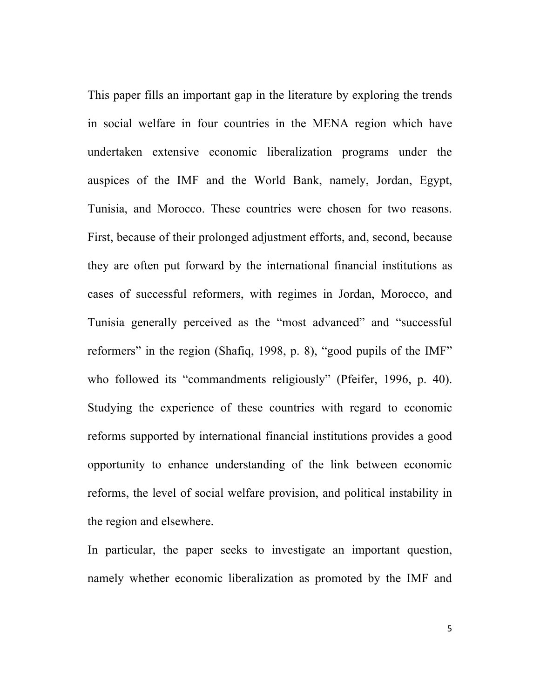This paper fills an important gap in the literature by exploring the trends in social welfare in four countries in the MENA region which have undertaken extensive economic liberalization programs under the auspices of the IMF and the World Bank, namely, Jordan, Egypt, Tunisia, and Morocco. These countries were chosen for two reasons. First, because of their prolonged adjustment efforts, and, second, because they are often put forward by the international financial institutions as cases of successful reformers, with regimes in Jordan, Morocco, and Tunisia generally perceived as the "most advanced" and "successful reformers" in the region (Shafiq, 1998, p. 8), "good pupils of the IMF" who followed its "commandments religiously" (Pfeifer, 1996, p. 40). Studying the experience of these countries with regard to economic reforms supported by international financial institutions provides a good opportunity to enhance understanding of the link between economic reforms, the level of social welfare provision, and political instability in the region and elsewhere.

In particular, the paper seeks to investigate an important question, namely whether economic liberalization as promoted by the IMF and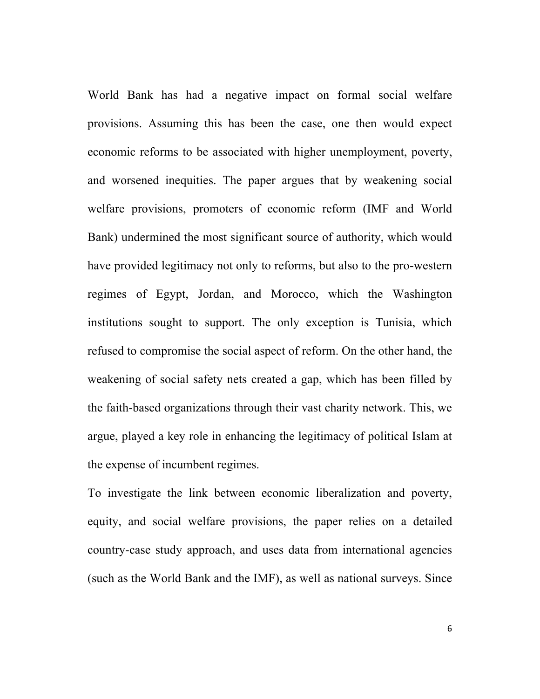World Bank has had a negative impact on formal social welfare provisions. Assuming this has been the case, one then would expect economic reforms to be associated with higher unemployment, poverty, and worsened inequities. The paper argues that by weakening social welfare provisions, promoters of economic reform (IMF and World Bank) undermined the most significant source of authority, which would have provided legitimacy not only to reforms, but also to the pro-western regimes of Egypt, Jordan, and Morocco, which the Washington institutions sought to support. The only exception is Tunisia, which refused to compromise the social aspect of reform. On the other hand, the weakening of social safety nets created a gap, which has been filled by the faith-based organizations through their vast charity network. This, we argue, played a key role in enhancing the legitimacy of political Islam at the expense of incumbent regimes.

To investigate the link between economic liberalization and poverty, equity, and social welfare provisions, the paper relies on a detailed country-case study approach, and uses data from international agencies (such as the World Bank and the IMF), as well as national surveys. Since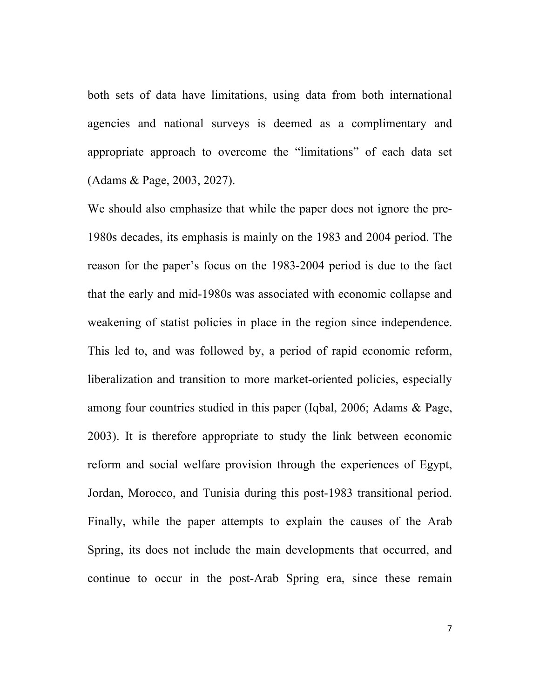both sets of data have limitations, using data from both international agencies and national surveys is deemed as a complimentary and appropriate approach to overcome the "limitations" of each data set (Adams & Page, 2003, 2027).

We should also emphasize that while the paper does not ignore the pre-1980s decades, its emphasis is mainly on the 1983 and 2004 period. The reason for the paper's focus on the 1983-2004 period is due to the fact that the early and mid-1980s was associated with economic collapse and weakening of statist policies in place in the region since independence. This led to, and was followed by, a period of rapid economic reform, liberalization and transition to more market-oriented policies, especially among four countries studied in this paper (Iqbal, 2006; Adams & Page, 2003). It is therefore appropriate to study the link between economic reform and social welfare provision through the experiences of Egypt, Jordan, Morocco, and Tunisia during this post-1983 transitional period. Finally, while the paper attempts to explain the causes of the Arab Spring, its does not include the main developments that occurred, and continue to occur in the post-Arab Spring era, since these remain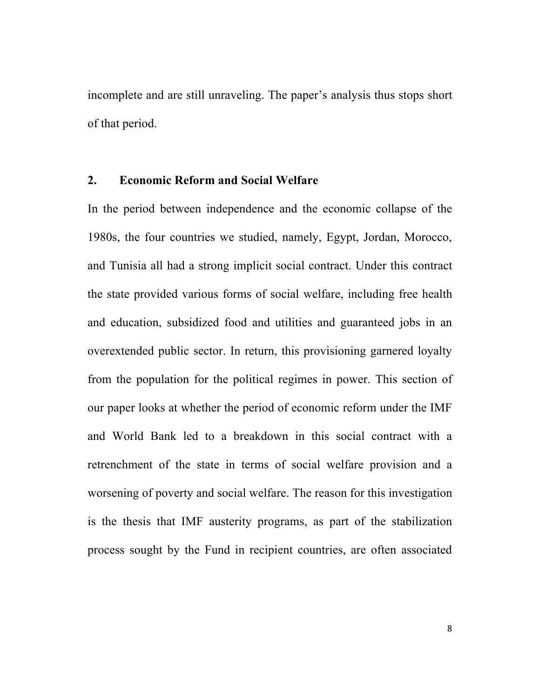incomplete and are still unraveling. The paper's analysis thus stops short of that period.

### **2. Economic Reform and Social Welfare**

In the period between independence and the economic collapse of the 1980s, the four countries we studied, namely, Egypt, Jordan, Morocco, and Tunisia all had a strong implicit social contract. Under this contract the state provided various forms of social welfare, including free health and education, subsidized food and utilities and guaranteed jobs in an overextended public sector. In return, this provisioning garnered loyalty from the population for the political regimes in power. This section of our paper looks at whether the period of economic reform under the IMF and World Bank led to a breakdown in this social contract with a retrenchment of the state in terms of social welfare provision and a worsening of poverty and social welfare. The reason for this investigation is the thesis that IMF austerity programs, as part of the stabilization process sought by the Fund in recipient countries, are often associated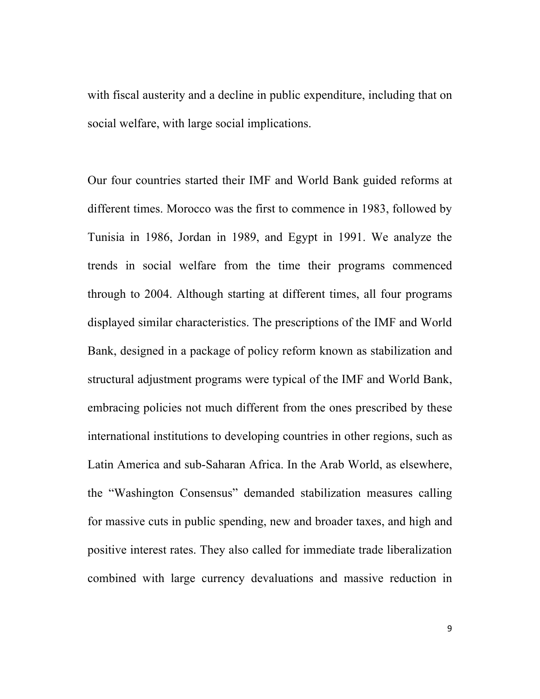with fiscal austerity and a decline in public expenditure, including that on social welfare, with large social implications.

Our four countries started their IMF and World Bank guided reforms at different times. Morocco was the first to commence in 1983, followed by Tunisia in 1986, Jordan in 1989, and Egypt in 1991. We analyze the trends in social welfare from the time their programs commenced through to 2004. Although starting at different times, all four programs displayed similar characteristics. The prescriptions of the IMF and World Bank, designed in a package of policy reform known as stabilization and structural adjustment programs were typical of the IMF and World Bank, embracing policies not much different from the ones prescribed by these international institutions to developing countries in other regions, such as Latin America and sub-Saharan Africa. In the Arab World, as elsewhere, the "Washington Consensus" demanded stabilization measures calling for massive cuts in public spending, new and broader taxes, and high and positive interest rates. They also called for immediate trade liberalization combined with large currency devaluations and massive reduction in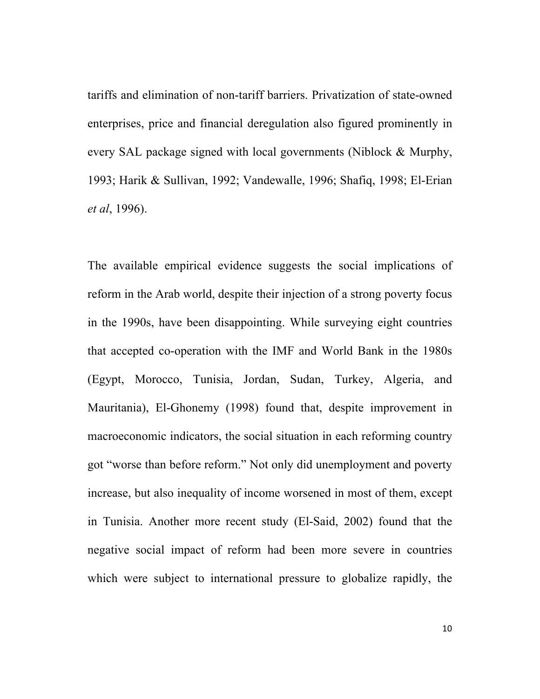tariffs and elimination of non-tariff barriers. Privatization of state-owned enterprises, price and financial deregulation also figured prominently in every SAL package signed with local governments (Niblock & Murphy, 1993; Harik & Sullivan, 1992; Vandewalle, 1996; Shafiq, 1998; El-Erian *et al*, 1996).

The available empirical evidence suggests the social implications of reform in the Arab world, despite their injection of a strong poverty focus in the 1990s, have been disappointing. While surveying eight countries that accepted co-operation with the IMF and World Bank in the 1980s (Egypt, Morocco, Tunisia, Jordan, Sudan, Turkey, Algeria, and Mauritania), El-Ghonemy (1998) found that, despite improvement in macroeconomic indicators, the social situation in each reforming country got "worse than before reform." Not only did unemployment and poverty increase, but also inequality of income worsened in most of them, except in Tunisia. Another more recent study (El-Said, 2002) found that the negative social impact of reform had been more severe in countries which were subject to international pressure to globalize rapidly, the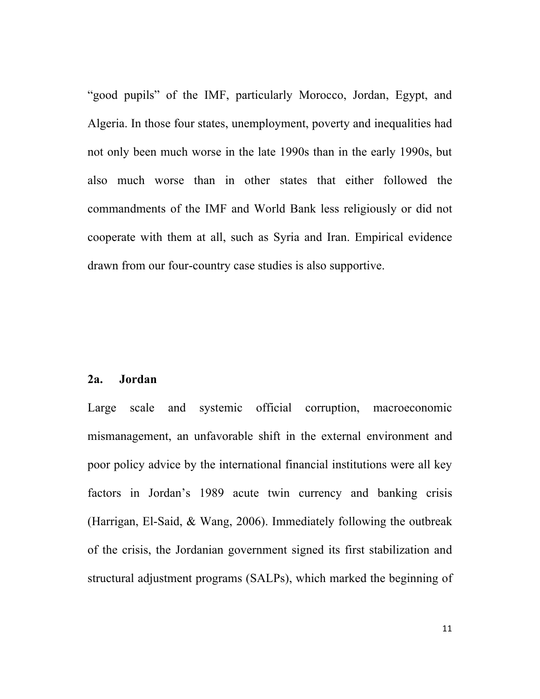"good pupils" of the IMF, particularly Morocco, Jordan, Egypt, and Algeria. In those four states, unemployment, poverty and inequalities had not only been much worse in the late 1990s than in the early 1990s, but also much worse than in other states that either followed the commandments of the IMF and World Bank less religiously or did not cooperate with them at all, such as Syria and Iran. Empirical evidence drawn from our four-country case studies is also supportive.

# **2a. Jordan**

Large scale and systemic official corruption, macroeconomic mismanagement, an unfavorable shift in the external environment and poor policy advice by the international financial institutions were all key factors in Jordan's 1989 acute twin currency and banking crisis (Harrigan, El-Said, & Wang, 2006). Immediately following the outbreak of the crisis, the Jordanian government signed its first stabilization and structural adjustment programs (SALPs), which marked the beginning of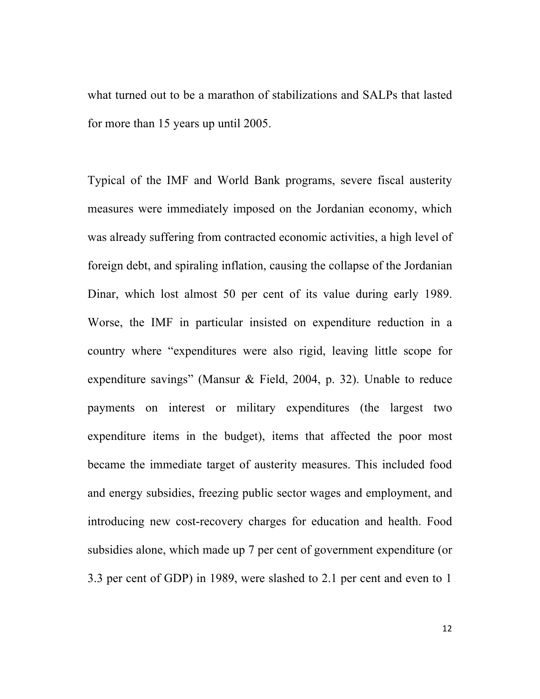what turned out to be a marathon of stabilizations and SALPs that lasted for more than 15 years up until 2005.

Typical of the IMF and World Bank programs, severe fiscal austerity measures were immediately imposed on the Jordanian economy, which was already suffering from contracted economic activities, a high level of foreign debt, and spiraling inflation, causing the collapse of the Jordanian Dinar, which lost almost 50 per cent of its value during early 1989. Worse, the IMF in particular insisted on expenditure reduction in a country where "expenditures were also rigid, leaving little scope for expenditure savings" (Mansur & Field, 2004, p. 32). Unable to reduce payments on interest or military expenditures (the largest two expenditure items in the budget), items that affected the poor most became the immediate target of austerity measures. This included food and energy subsidies, freezing public sector wages and employment, and introducing new cost-recovery charges for education and health. Food subsidies alone, which made up 7 per cent of government expenditure (or 3.3 per cent of GDP) in 1989, were slashed to 2.1 per cent and even to 1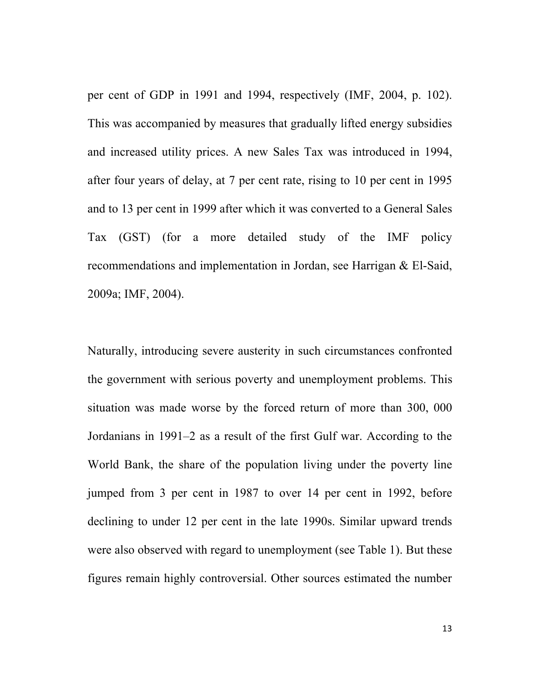per cent of GDP in 1991 and 1994, respectively (IMF, 2004, p. 102). This was accompanied by measures that gradually lifted energy subsidies and increased utility prices. A new Sales Tax was introduced in 1994, after four years of delay, at 7 per cent rate, rising to 10 per cent in 1995 and to 13 per cent in 1999 after which it was converted to a General Sales Tax (GST) (for a more detailed study of the IMF policy recommendations and implementation in Jordan, see Harrigan & El-Said, 2009a; IMF, 2004).

Naturally, introducing severe austerity in such circumstances confronted the government with serious poverty and unemployment problems. This situation was made worse by the forced return of more than 300, 000 Jordanians in 1991–2 as a result of the first Gulf war. According to the World Bank, the share of the population living under the poverty line jumped from 3 per cent in 1987 to over 14 per cent in 1992, before declining to under 12 per cent in the late 1990s. Similar upward trends were also observed with regard to unemployment (see Table 1). But these figures remain highly controversial. Other sources estimated the number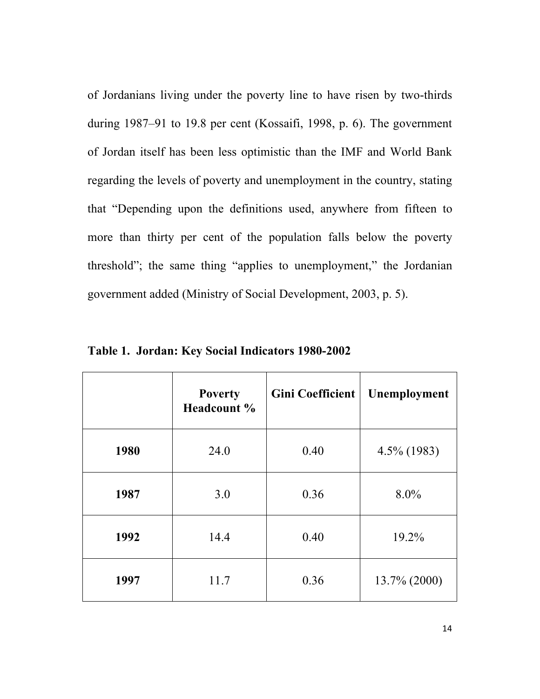of Jordanians living under the poverty line to have risen by two-thirds during 1987–91 to 19.8 per cent (Kossaifi, 1998, p. 6). The government of Jordan itself has been less optimistic than the IMF and World Bank regarding the levels of poverty and unemployment in the country, stating that "Depending upon the definitions used, anywhere from fifteen to more than thirty per cent of the population falls below the poverty threshold"; the same thing "applies to unemployment," the Jordanian government added (Ministry of Social Development, 2003, p. 5).

|      | <b>Poverty</b><br>Headcount % | <b>Gini Coefficient</b> | Unemployment   |
|------|-------------------------------|-------------------------|----------------|
| 1980 | 24.0                          | 0.40                    | $4.5\%$ (1983) |
| 1987 | 3.0                           | 0.36                    | $8.0\%$        |
| 1992 | 14.4                          | 0.40                    | 19.2%          |
| 1997 | 11.7                          | 0.36                    | 13.7% (2000)   |

**Table 1. Jordan: Key Social Indicators 1980-2002**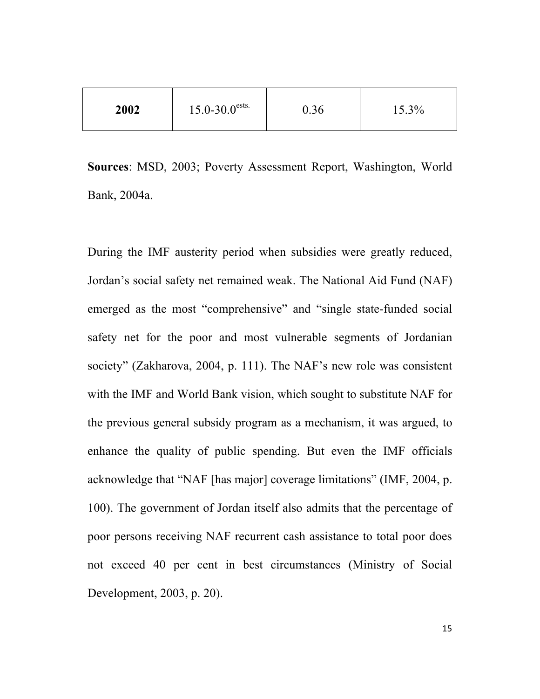| 2002 | $15.0 - 30.0$ <sup>ests.</sup> | 0.36 | $15.3\%$ |
|------|--------------------------------|------|----------|
|------|--------------------------------|------|----------|

**Sources**: MSD, 2003; Poverty Assessment Report, Washington, World Bank, 2004a.

During the IMF austerity period when subsidies were greatly reduced, Jordan's social safety net remained weak. The National Aid Fund (NAF) emerged as the most "comprehensive" and "single state-funded social safety net for the poor and most vulnerable segments of Jordanian society" (Zakharova, 2004, p. 111). The NAF's new role was consistent with the IMF and World Bank vision, which sought to substitute NAF for the previous general subsidy program as a mechanism, it was argued, to enhance the quality of public spending. But even the IMF officials acknowledge that "NAF [has major] coverage limitations" (IMF, 2004, p. 100). The government of Jordan itself also admits that the percentage of poor persons receiving NAF recurrent cash assistance to total poor does not exceed 40 per cent in best circumstances (Ministry of Social Development, 2003, p. 20).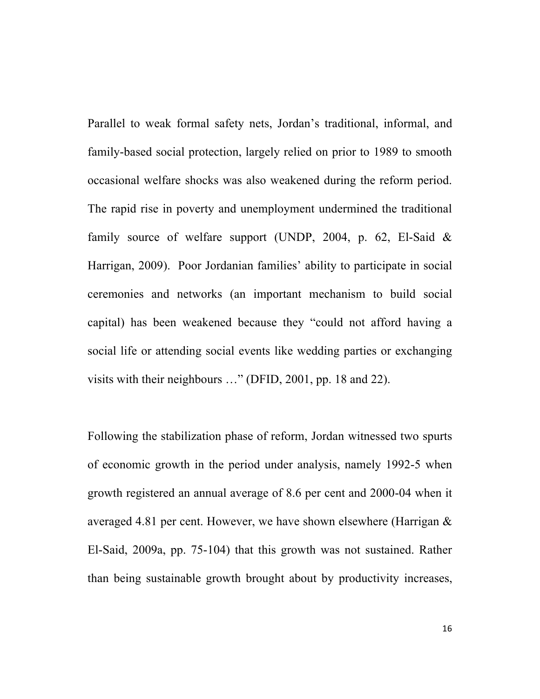Parallel to weak formal safety nets, Jordan's traditional, informal, and family-based social protection, largely relied on prior to 1989 to smooth occasional welfare shocks was also weakened during the reform period. The rapid rise in poverty and unemployment undermined the traditional family source of welfare support (UNDP, 2004, p. 62, El-Said & Harrigan, 2009). Poor Jordanian families' ability to participate in social ceremonies and networks (an important mechanism to build social capital) has been weakened because they "could not afford having a social life or attending social events like wedding parties or exchanging visits with their neighbours …" (DFID, 2001, pp. 18 and 22).

Following the stabilization phase of reform, Jordan witnessed two spurts of economic growth in the period under analysis, namely 1992-5 when growth registered an annual average of 8.6 per cent and 2000-04 when it averaged 4.81 per cent. However, we have shown elsewhere (Harrigan & El-Said, 2009a, pp. 75-104) that this growth was not sustained. Rather than being sustainable growth brought about by productivity increases,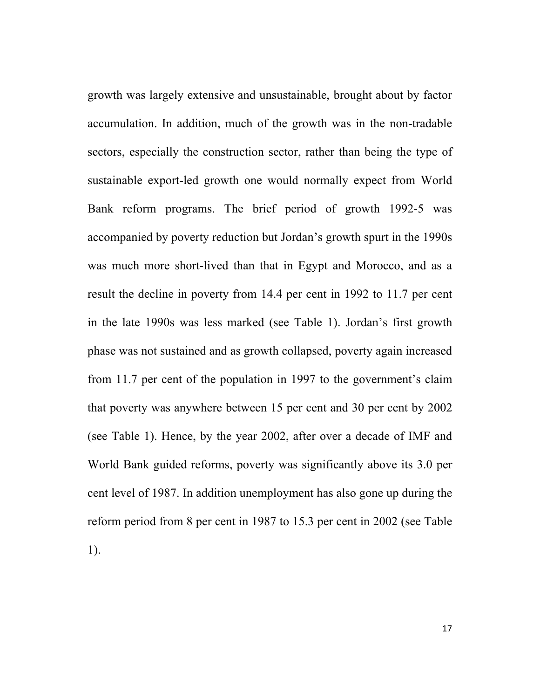growth was largely extensive and unsustainable, brought about by factor accumulation. In addition, much of the growth was in the non-tradable sectors, especially the construction sector, rather than being the type of sustainable export-led growth one would normally expect from World Bank reform programs. The brief period of growth 1992-5 was accompanied by poverty reduction but Jordan's growth spurt in the 1990s was much more short-lived than that in Egypt and Morocco, and as a result the decline in poverty from 14.4 per cent in 1992 to 11.7 per cent in the late 1990s was less marked (see Table 1). Jordan's first growth phase was not sustained and as growth collapsed, poverty again increased from 11.7 per cent of the population in 1997 to the government's claim that poverty was anywhere between 15 per cent and 30 per cent by 2002 (see Table 1). Hence, by the year 2002, after over a decade of IMF and World Bank guided reforms, poverty was significantly above its 3.0 per cent level of 1987. In addition unemployment has also gone up during the reform period from 8 per cent in 1987 to 15.3 per cent in 2002 (see Table 1).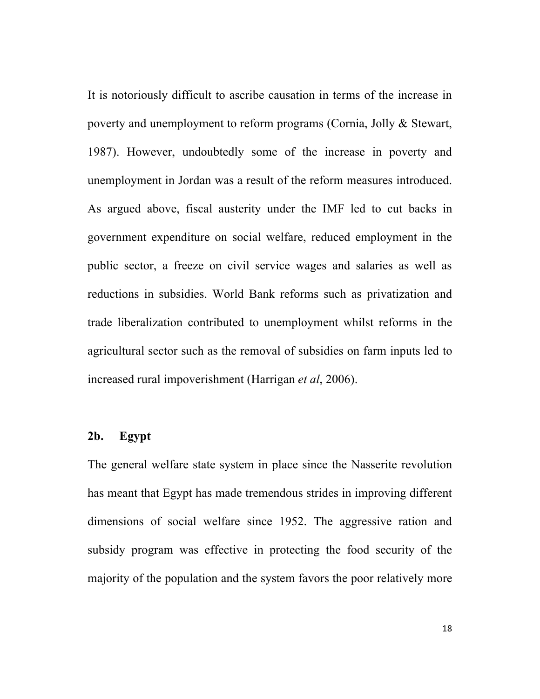It is notoriously difficult to ascribe causation in terms of the increase in poverty and unemployment to reform programs (Cornia, Jolly & Stewart, 1987). However, undoubtedly some of the increase in poverty and unemployment in Jordan was a result of the reform measures introduced. As argued above, fiscal austerity under the IMF led to cut backs in government expenditure on social welfare, reduced employment in the public sector, a freeze on civil service wages and salaries as well as reductions in subsidies. World Bank reforms such as privatization and trade liberalization contributed to unemployment whilst reforms in the agricultural sector such as the removal of subsidies on farm inputs led to increased rural impoverishment (Harrigan *et al*, 2006).

## **2b. Egypt**

The general welfare state system in place since the Nasserite revolution has meant that Egypt has made tremendous strides in improving different dimensions of social welfare since 1952. The aggressive ration and subsidy program was effective in protecting the food security of the majority of the population and the system favors the poor relatively more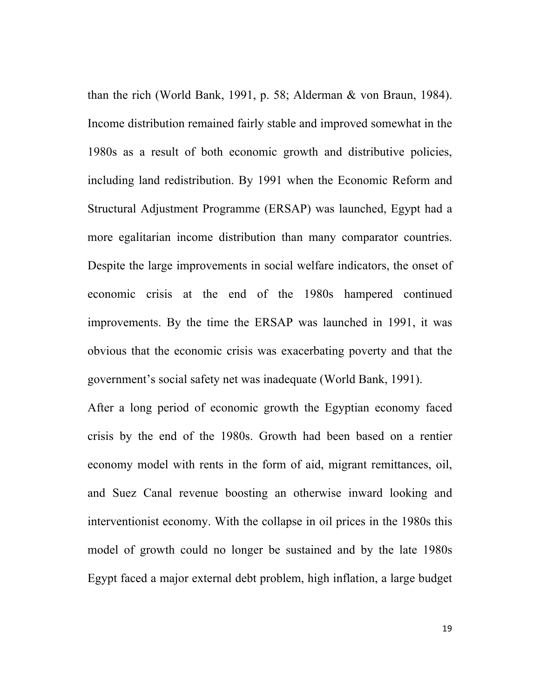than the rich (World Bank, 1991, p. 58; Alderman & von Braun, 1984). Income distribution remained fairly stable and improved somewhat in the 1980s as a result of both economic growth and distributive policies, including land redistribution. By 1991 when the Economic Reform and Structural Adjustment Programme (ERSAP) was launched, Egypt had a more egalitarian income distribution than many comparator countries. Despite the large improvements in social welfare indicators, the onset of economic crisis at the end of the 1980s hampered continued improvements. By the time the ERSAP was launched in 1991, it was obvious that the economic crisis was exacerbating poverty and that the government's social safety net was inadequate (World Bank, 1991).

After a long period of economic growth the Egyptian economy faced crisis by the end of the 1980s. Growth had been based on a rentier economy model with rents in the form of aid, migrant remittances, oil, and Suez Canal revenue boosting an otherwise inward looking and interventionist economy. With the collapse in oil prices in the 1980s this model of growth could no longer be sustained and by the late 1980s Egypt faced a major external debt problem, high inflation, a large budget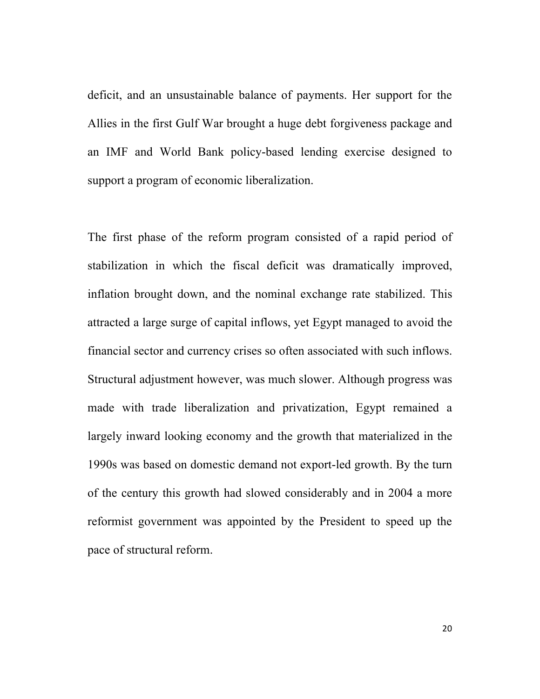deficit, and an unsustainable balance of payments. Her support for the Allies in the first Gulf War brought a huge debt forgiveness package and an IMF and World Bank policy-based lending exercise designed to support a program of economic liberalization.

The first phase of the reform program consisted of a rapid period of stabilization in which the fiscal deficit was dramatically improved, inflation brought down, and the nominal exchange rate stabilized. This attracted a large surge of capital inflows, yet Egypt managed to avoid the financial sector and currency crises so often associated with such inflows. Structural adjustment however, was much slower. Although progress was made with trade liberalization and privatization, Egypt remained a largely inward looking economy and the growth that materialized in the 1990s was based on domestic demand not export-led growth. By the turn of the century this growth had slowed considerably and in 2004 a more reformist government was appointed by the President to speed up the pace of structural reform.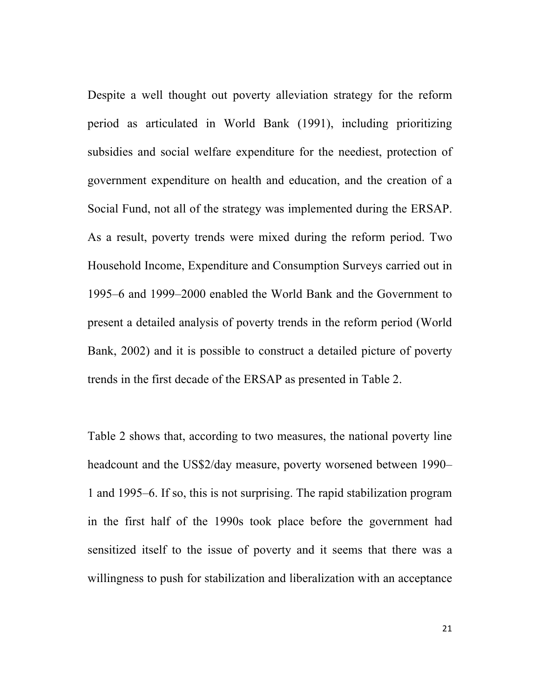Despite a well thought out poverty alleviation strategy for the reform period as articulated in World Bank (1991), including prioritizing subsidies and social welfare expenditure for the neediest, protection of government expenditure on health and education, and the creation of a Social Fund, not all of the strategy was implemented during the ERSAP. As a result, poverty trends were mixed during the reform period. Two Household Income, Expenditure and Consumption Surveys carried out in 1995–6 and 1999–2000 enabled the World Bank and the Government to present a detailed analysis of poverty trends in the reform period (World Bank, 2002) and it is possible to construct a detailed picture of poverty trends in the first decade of the ERSAP as presented in Table 2.

Table 2 shows that, according to two measures, the national poverty line headcount and the US\$2/day measure, poverty worsened between 1990– 1 and 1995–6. If so, this is not surprising. The rapid stabilization program in the first half of the 1990s took place before the government had sensitized itself to the issue of poverty and it seems that there was a willingness to push for stabilization and liberalization with an acceptance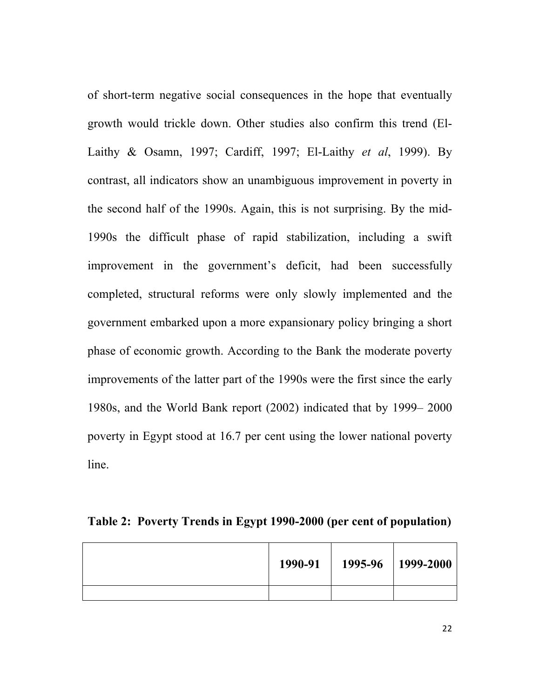of short-term negative social consequences in the hope that eventually growth would trickle down. Other studies also confirm this trend (El-Laithy & Osamn, 1997; Cardiff, 1997; El-Laithy *et al*, 1999). By contrast, all indicators show an unambiguous improvement in poverty in the second half of the 1990s. Again, this is not surprising. By the mid-1990s the difficult phase of rapid stabilization, including a swift improvement in the government's deficit, had been successfully completed, structural reforms were only slowly implemented and the government embarked upon a more expansionary policy bringing a short phase of economic growth. According to the Bank the moderate poverty improvements of the latter part of the 1990s were the first since the early 1980s, and the World Bank report (2002) indicated that by 1999– 2000 poverty in Egypt stood at 16.7 per cent using the lower national poverty line.

|  | 1990-91   1995-96   1999-2000 |  |
|--|-------------------------------|--|
|  |                               |  |

**Table 2: Poverty Trends in Egypt 1990-2000 (per cent of population)**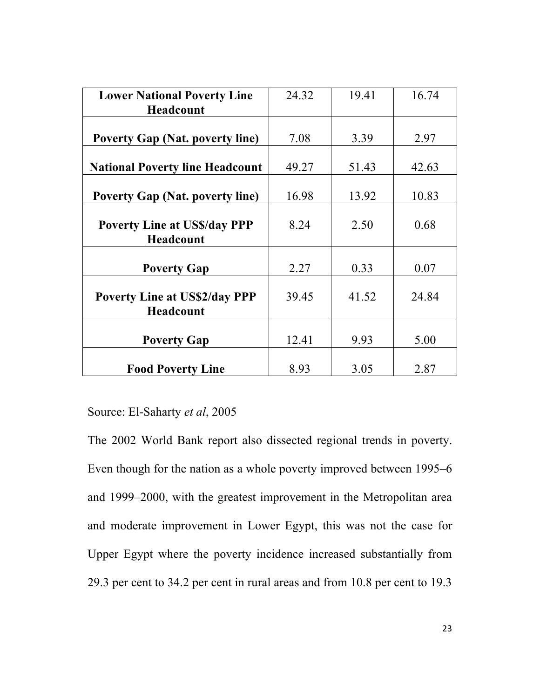| <b>Lower National Poverty Line</b><br><b>Headcount</b>   | 24.32 | 19.41 | 16.74 |
|----------------------------------------------------------|-------|-------|-------|
|                                                          |       |       |       |
| <b>Poverty Gap (Nat. poverty line)</b>                   | 7.08  | 3.39  | 2.97  |
| <b>National Poverty line Headcount</b>                   | 49.27 | 51.43 | 42.63 |
|                                                          |       |       |       |
| <b>Poverty Gap (Nat. poverty line)</b>                   | 16.98 | 13.92 | 10.83 |
| <b>Poverty Line at US\$/day PPP</b><br><b>Headcount</b>  | 8.24  | 2.50  | 0.68  |
| <b>Poverty Gap</b>                                       | 2.27  | 0.33  | 0.07  |
| <b>Poverty Line at US\$2/day PPP</b><br><b>Headcount</b> | 39.45 | 41.52 | 24.84 |
| <b>Poverty Gap</b>                                       | 12.41 | 9.93  | 5.00  |
| <b>Food Poverty Line</b>                                 | 8.93  | 3.05  | 2.87  |

Source: El-Saharty *et al*, 2005

The 2002 World Bank report also dissected regional trends in poverty. Even though for the nation as a whole poverty improved between 1995–6 and 1999–2000, with the greatest improvement in the Metropolitan area and moderate improvement in Lower Egypt, this was not the case for Upper Egypt where the poverty incidence increased substantially from 29.3 per cent to 34.2 per cent in rural areas and from 10.8 per cent to 19.3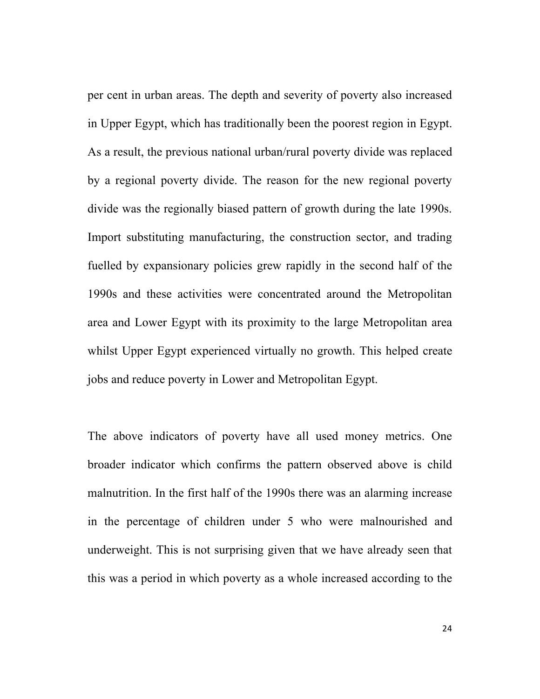per cent in urban areas. The depth and severity of poverty also increased in Upper Egypt, which has traditionally been the poorest region in Egypt. As a result, the previous national urban/rural poverty divide was replaced by a regional poverty divide. The reason for the new regional poverty divide was the regionally biased pattern of growth during the late 1990s. Import substituting manufacturing, the construction sector, and trading fuelled by expansionary policies grew rapidly in the second half of the 1990s and these activities were concentrated around the Metropolitan area and Lower Egypt with its proximity to the large Metropolitan area whilst Upper Egypt experienced virtually no growth. This helped create jobs and reduce poverty in Lower and Metropolitan Egypt.

The above indicators of poverty have all used money metrics. One broader indicator which confirms the pattern observed above is child malnutrition. In the first half of the 1990s there was an alarming increase in the percentage of children under 5 who were malnourished and underweight. This is not surprising given that we have already seen that this was a period in which poverty as a whole increased according to the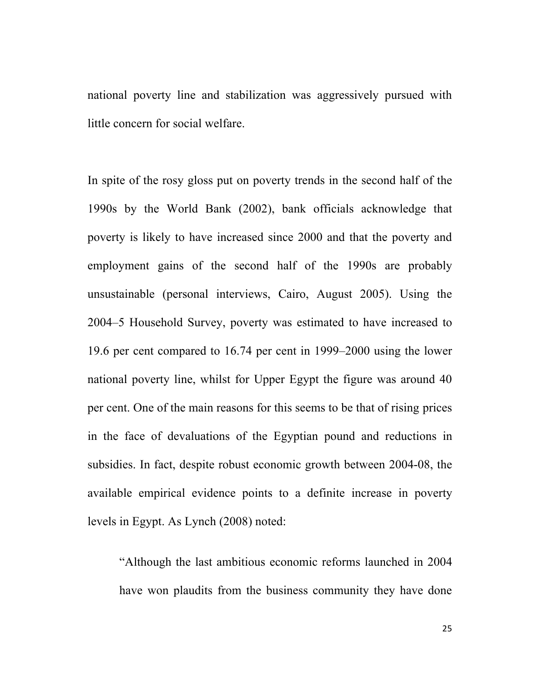national poverty line and stabilization was aggressively pursued with little concern for social welfare.

In spite of the rosy gloss put on poverty trends in the second half of the 1990s by the World Bank (2002), bank officials acknowledge that poverty is likely to have increased since 2000 and that the poverty and employment gains of the second half of the 1990s are probably unsustainable (personal interviews, Cairo, August 2005). Using the 2004–5 Household Survey, poverty was estimated to have increased to 19.6 per cent compared to 16.74 per cent in 1999–2000 using the lower national poverty line, whilst for Upper Egypt the figure was around 40 per cent. One of the main reasons for this seems to be that of rising prices in the face of devaluations of the Egyptian pound and reductions in subsidies. In fact, despite robust economic growth between 2004-08, the available empirical evidence points to a definite increase in poverty levels in Egypt. As Lynch (2008) noted:

"Although the last ambitious economic reforms launched in 2004 have won plaudits from the business community they have done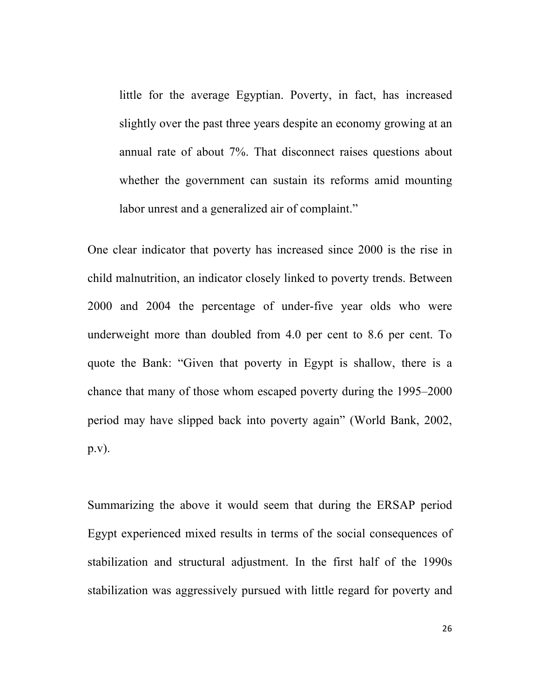little for the average Egyptian. Poverty, in fact, has increased slightly over the past three years despite an economy growing at an annual rate of about 7%. That disconnect raises questions about whether the government can sustain its reforms amid mounting labor unrest and a generalized air of complaint."

One clear indicator that poverty has increased since 2000 is the rise in child malnutrition, an indicator closely linked to poverty trends. Between 2000 and 2004 the percentage of under-five year olds who were underweight more than doubled from 4.0 per cent to 8.6 per cent. To quote the Bank: "Given that poverty in Egypt is shallow, there is a chance that many of those whom escaped poverty during the 1995–2000 period may have slipped back into poverty again" (World Bank, 2002, p.v).

Summarizing the above it would seem that during the ERSAP period Egypt experienced mixed results in terms of the social consequences of stabilization and structural adjustment. In the first half of the 1990s stabilization was aggressively pursued with little regard for poverty and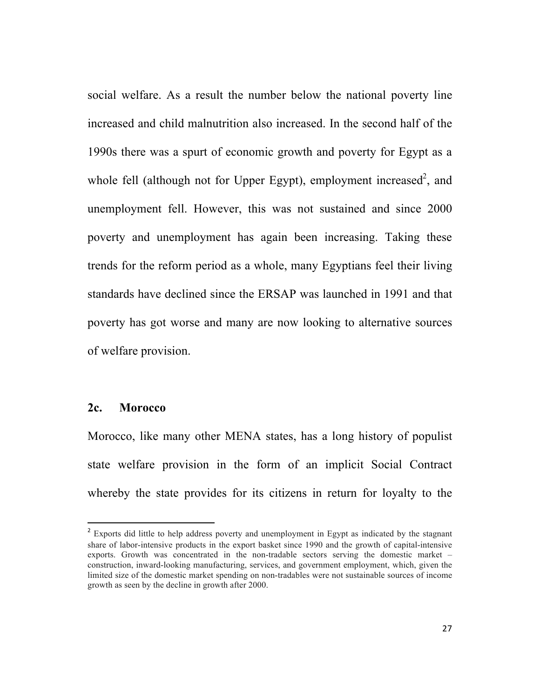social welfare. As a result the number below the national poverty line increased and child malnutrition also increased. In the second half of the 1990s there was a spurt of economic growth and poverty for Egypt as a whole fell (although not for Upper Egypt), employment increased<sup>2</sup>, and unemployment fell. However, this was not sustained and since 2000 poverty and unemployment has again been increasing. Taking these trends for the reform period as a whole, many Egyptians feel their living standards have declined since the ERSAP was launched in 1991 and that poverty has got worse and many are now looking to alternative sources of welfare provision.

# **2c. Morocco**

 

Morocco, like many other MENA states, has a long history of populist state welfare provision in the form of an implicit Social Contract whereby the state provides for its citizens in return for loyalty to the

<sup>&</sup>lt;sup>2</sup> Exports did little to help address poverty and unemployment in Egypt as indicated by the stagnant share of labor-intensive products in the export basket since 1990 and the growth of capital-intensive exports. Growth was concentrated in the non-tradable sectors serving the domestic market – construction, inward-looking manufacturing, services, and government employment, which, given the limited size of the domestic market spending on non-tradables were not sustainable sources of income growth as seen by the decline in growth after 2000.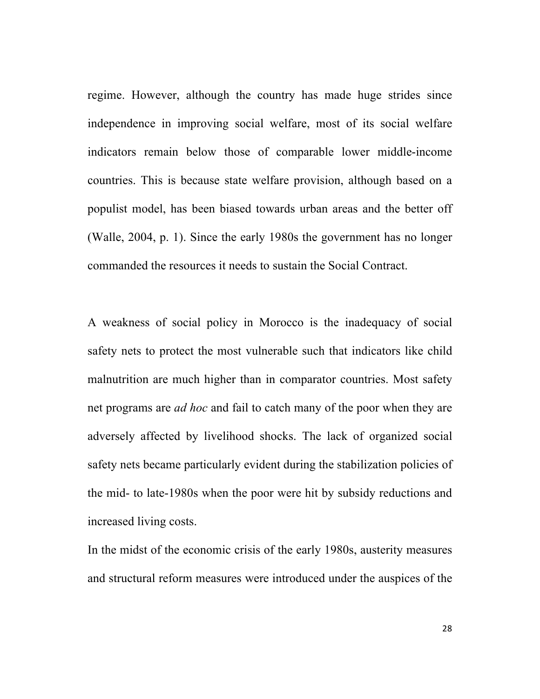regime. However, although the country has made huge strides since independence in improving social welfare, most of its social welfare indicators remain below those of comparable lower middle-income countries. This is because state welfare provision, although based on a populist model, has been biased towards urban areas and the better off (Walle, 2004, p. 1). Since the early 1980s the government has no longer commanded the resources it needs to sustain the Social Contract.

A weakness of social policy in Morocco is the inadequacy of social safety nets to protect the most vulnerable such that indicators like child malnutrition are much higher than in comparator countries. Most safety net programs are *ad hoc* and fail to catch many of the poor when they are adversely affected by livelihood shocks. The lack of organized social safety nets became particularly evident during the stabilization policies of the mid- to late-1980s when the poor were hit by subsidy reductions and increased living costs.

In the midst of the economic crisis of the early 1980s, austerity measures and structural reform measures were introduced under the auspices of the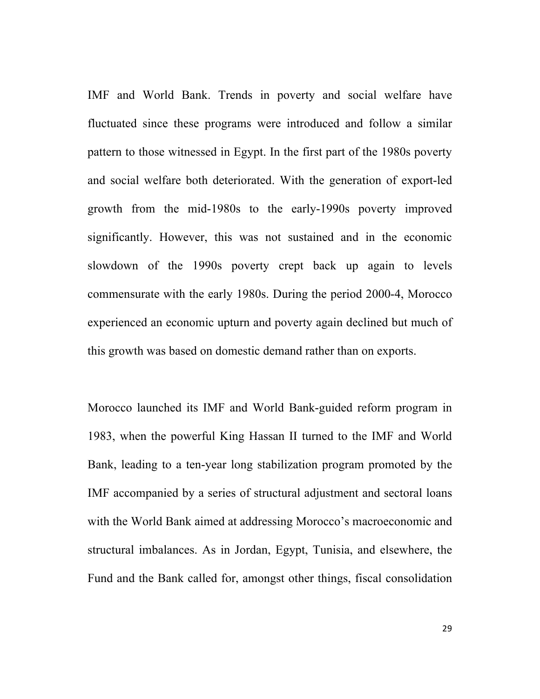IMF and World Bank. Trends in poverty and social welfare have fluctuated since these programs were introduced and follow a similar pattern to those witnessed in Egypt. In the first part of the 1980s poverty and social welfare both deteriorated. With the generation of export-led growth from the mid-1980s to the early-1990s poverty improved significantly. However, this was not sustained and in the economic slowdown of the 1990s poverty crept back up again to levels commensurate with the early 1980s. During the period 2000-4, Morocco experienced an economic upturn and poverty again declined but much of this growth was based on domestic demand rather than on exports.

Morocco launched its IMF and World Bank-guided reform program in 1983, when the powerful King Hassan II turned to the IMF and World Bank, leading to a ten-year long stabilization program promoted by the IMF accompanied by a series of structural adjustment and sectoral loans with the World Bank aimed at addressing Morocco's macroeconomic and structural imbalances. As in Jordan, Egypt, Tunisia, and elsewhere, the Fund and the Bank called for, amongst other things, fiscal consolidation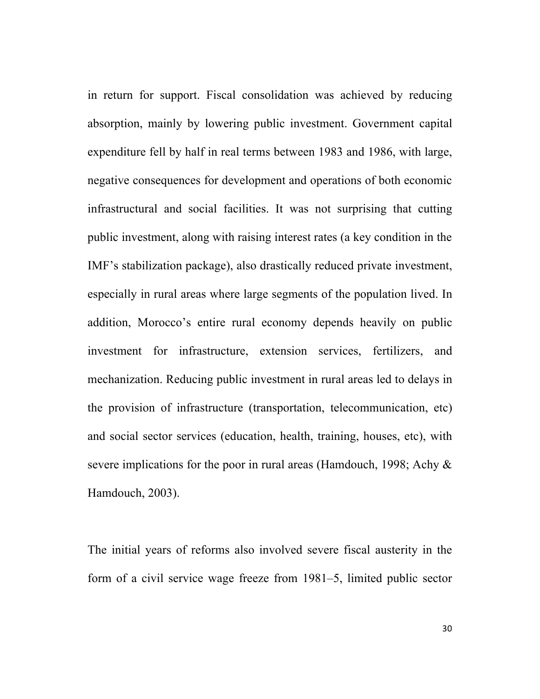in return for support. Fiscal consolidation was achieved by reducing absorption, mainly by lowering public investment. Government capital expenditure fell by half in real terms between 1983 and 1986, with large, negative consequences for development and operations of both economic infrastructural and social facilities. It was not surprising that cutting public investment, along with raising interest rates (a key condition in the IMF's stabilization package), also drastically reduced private investment, especially in rural areas where large segments of the population lived. In addition, Morocco's entire rural economy depends heavily on public investment for infrastructure, extension services, fertilizers, and mechanization. Reducing public investment in rural areas led to delays in the provision of infrastructure (transportation, telecommunication, etc) and social sector services (education, health, training, houses, etc), with severe implications for the poor in rural areas (Hamdouch, 1998; Achy & Hamdouch, 2003).

The initial years of reforms also involved severe fiscal austerity in the form of a civil service wage freeze from 1981–5, limited public sector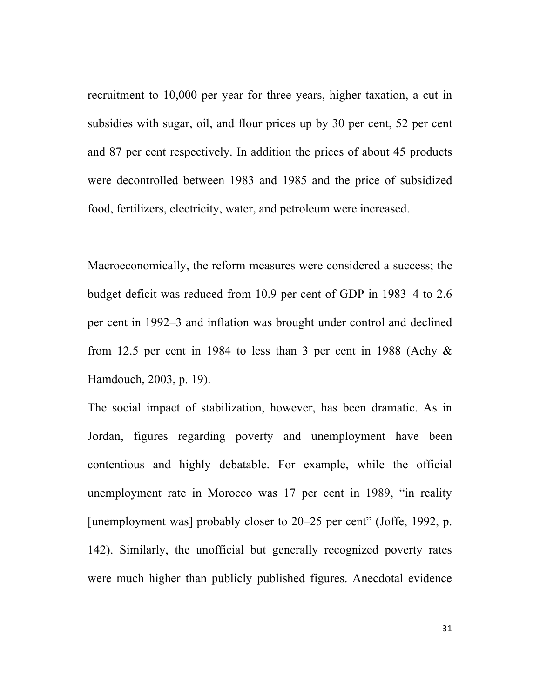recruitment to 10,000 per year for three years, higher taxation, a cut in subsidies with sugar, oil, and flour prices up by 30 per cent, 52 per cent and 87 per cent respectively. In addition the prices of about 45 products were decontrolled between 1983 and 1985 and the price of subsidized food, fertilizers, electricity, water, and petroleum were increased.

Macroeconomically, the reform measures were considered a success; the budget deficit was reduced from 10.9 per cent of GDP in 1983–4 to 2.6 per cent in 1992–3 and inflation was brought under control and declined from 12.5 per cent in 1984 to less than 3 per cent in 1988 (Achy  $\&$ Hamdouch, 2003, p. 19).

The social impact of stabilization, however, has been dramatic. As in Jordan, figures regarding poverty and unemployment have been contentious and highly debatable. For example, while the official unemployment rate in Morocco was 17 per cent in 1989, "in reality [unemployment was] probably closer to 20–25 per cent" (Joffe, 1992, p. 142). Similarly, the unofficial but generally recognized poverty rates were much higher than publicly published figures. Anecdotal evidence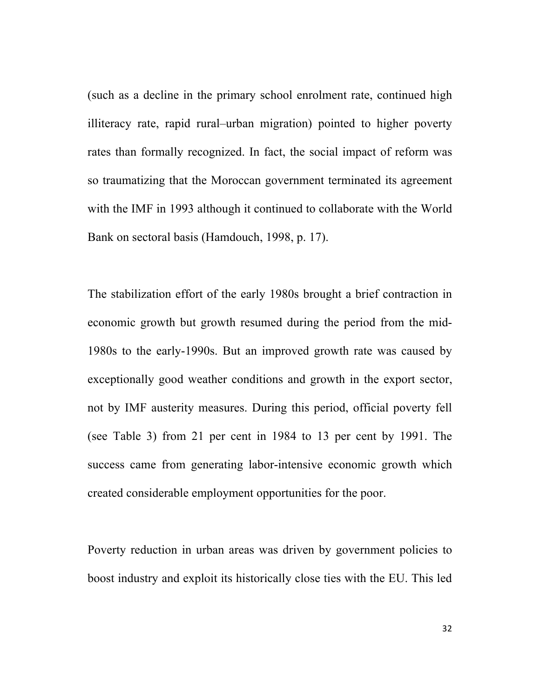(such as a decline in the primary school enrolment rate, continued high illiteracy rate, rapid rural–urban migration) pointed to higher poverty rates than formally recognized. In fact, the social impact of reform was so traumatizing that the Moroccan government terminated its agreement with the IMF in 1993 although it continued to collaborate with the World Bank on sectoral basis (Hamdouch, 1998, p. 17).

The stabilization effort of the early 1980s brought a brief contraction in economic growth but growth resumed during the period from the mid-1980s to the early-1990s. But an improved growth rate was caused by exceptionally good weather conditions and growth in the export sector, not by IMF austerity measures. During this period, official poverty fell (see Table 3) from 21 per cent in 1984 to 13 per cent by 1991. The success came from generating labor-intensive economic growth which created considerable employment opportunities for the poor.

Poverty reduction in urban areas was driven by government policies to boost industry and exploit its historically close ties with the EU. This led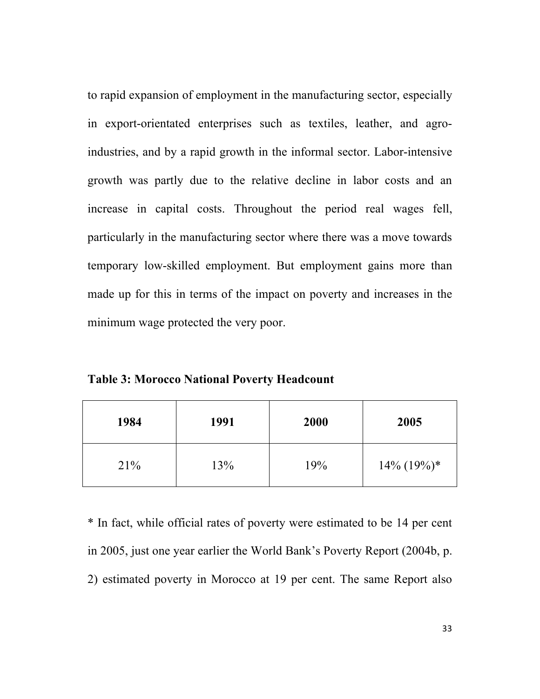to rapid expansion of employment in the manufacturing sector, especially in export-orientated enterprises such as textiles, leather, and agroindustries, and by a rapid growth in the informal sector. Labor-intensive growth was partly due to the relative decline in labor costs and an increase in capital costs. Throughout the period real wages fell, particularly in the manufacturing sector where there was a move towards temporary low-skilled employment. But employment gains more than made up for this in terms of the impact on poverty and increases in the minimum wage protected the very poor.

**Table 3: Morocco National Poverty Headcount**

| 1984 | 1991 | 2000 | 2005          |
|------|------|------|---------------|
| 21%  | 13%  | 19%  | $14\%$ (19%)* |

\* In fact, while official rates of poverty were estimated to be 14 per cent in 2005, just one year earlier the World Bank's Poverty Report (2004b, p. 2) estimated poverty in Morocco at 19 per cent. The same Report also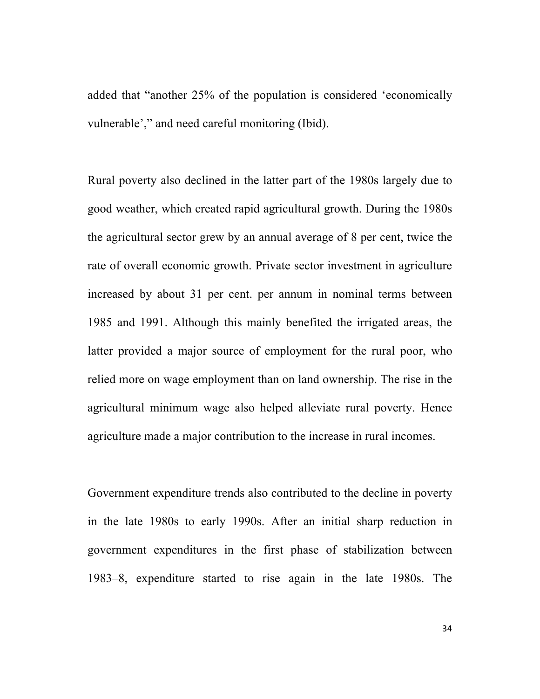added that "another 25% of the population is considered 'economically vulnerable'," and need careful monitoring (Ibid).

Rural poverty also declined in the latter part of the 1980s largely due to good weather, which created rapid agricultural growth. During the 1980s the agricultural sector grew by an annual average of 8 per cent, twice the rate of overall economic growth. Private sector investment in agriculture increased by about 31 per cent. per annum in nominal terms between 1985 and 1991. Although this mainly benefited the irrigated areas, the latter provided a major source of employment for the rural poor, who relied more on wage employment than on land ownership. The rise in the agricultural minimum wage also helped alleviate rural poverty. Hence agriculture made a major contribution to the increase in rural incomes.

Government expenditure trends also contributed to the decline in poverty in the late 1980s to early 1990s. After an initial sharp reduction in government expenditures in the first phase of stabilization between 1983–8, expenditure started to rise again in the late 1980s. The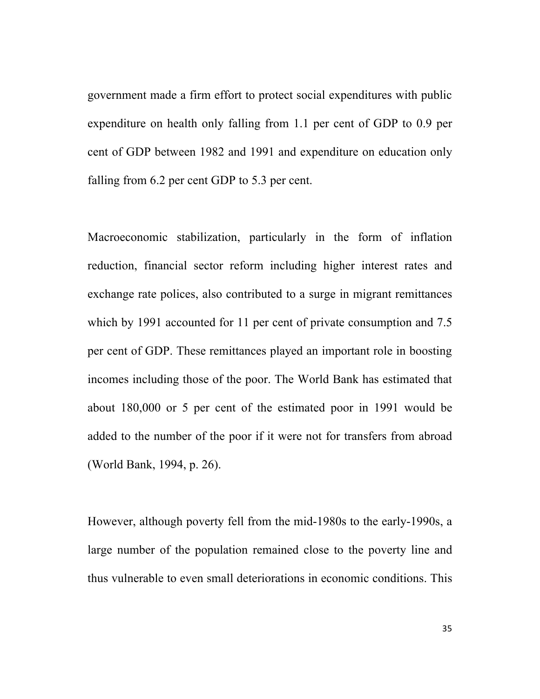government made a firm effort to protect social expenditures with public expenditure on health only falling from 1.1 per cent of GDP to 0.9 per cent of GDP between 1982 and 1991 and expenditure on education only falling from 6.2 per cent GDP to 5.3 per cent.

Macroeconomic stabilization, particularly in the form of inflation reduction, financial sector reform including higher interest rates and exchange rate polices, also contributed to a surge in migrant remittances which by 1991 accounted for 11 per cent of private consumption and 7.5 per cent of GDP. These remittances played an important role in boosting incomes including those of the poor. The World Bank has estimated that about 180,000 or 5 per cent of the estimated poor in 1991 would be added to the number of the poor if it were not for transfers from abroad (World Bank, 1994, p. 26).

However, although poverty fell from the mid-1980s to the early-1990s, a large number of the population remained close to the poverty line and thus vulnerable to even small deteriorations in economic conditions. This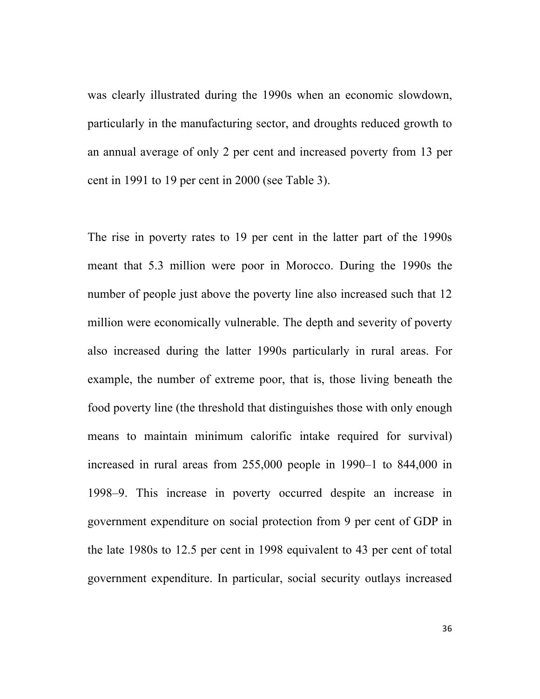was clearly illustrated during the 1990s when an economic slowdown, particularly in the manufacturing sector, and droughts reduced growth to an annual average of only 2 per cent and increased poverty from 13 per cent in 1991 to 19 per cent in 2000 (see Table 3).

The rise in poverty rates to 19 per cent in the latter part of the 1990s meant that 5.3 million were poor in Morocco. During the 1990s the number of people just above the poverty line also increased such that 12 million were economically vulnerable. The depth and severity of poverty also increased during the latter 1990s particularly in rural areas. For example, the number of extreme poor, that is, those living beneath the food poverty line (the threshold that distinguishes those with only enough means to maintain minimum calorific intake required for survival) increased in rural areas from 255,000 people in 1990–1 to 844,000 in 1998–9. This increase in poverty occurred despite an increase in government expenditure on social protection from 9 per cent of GDP in the late 1980s to 12.5 per cent in 1998 equivalent to 43 per cent of total government expenditure. In particular, social security outlays increased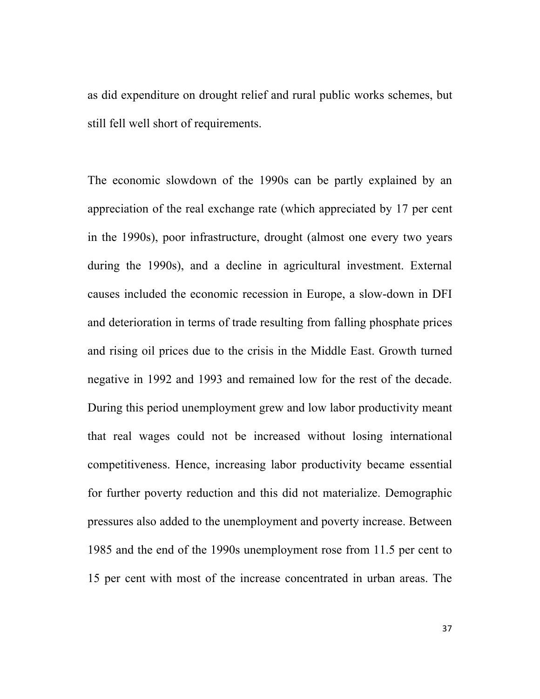as did expenditure on drought relief and rural public works schemes, but still fell well short of requirements.

The economic slowdown of the 1990s can be partly explained by an appreciation of the real exchange rate (which appreciated by 17 per cent in the 1990s), poor infrastructure, drought (almost one every two years during the 1990s), and a decline in agricultural investment. External causes included the economic recession in Europe, a slow-down in DFI and deterioration in terms of trade resulting from falling phosphate prices and rising oil prices due to the crisis in the Middle East. Growth turned negative in 1992 and 1993 and remained low for the rest of the decade. During this period unemployment grew and low labor productivity meant that real wages could not be increased without losing international competitiveness. Hence, increasing labor productivity became essential for further poverty reduction and this did not materialize. Demographic pressures also added to the unemployment and poverty increase. Between 1985 and the end of the 1990s unemployment rose from 11.5 per cent to 15 per cent with most of the increase concentrated in urban areas. The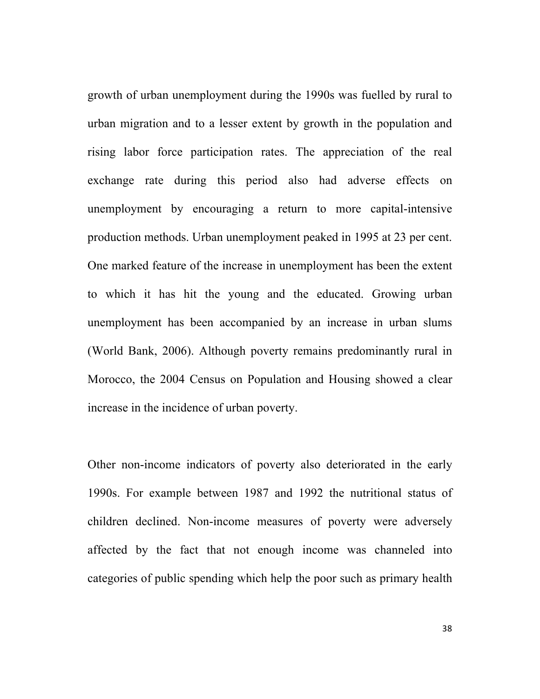growth of urban unemployment during the 1990s was fuelled by rural to urban migration and to a lesser extent by growth in the population and rising labor force participation rates. The appreciation of the real exchange rate during this period also had adverse effects on unemployment by encouraging a return to more capital-intensive production methods. Urban unemployment peaked in 1995 at 23 per cent. One marked feature of the increase in unemployment has been the extent to which it has hit the young and the educated. Growing urban unemployment has been accompanied by an increase in urban slums (World Bank, 2006). Although poverty remains predominantly rural in Morocco, the 2004 Census on Population and Housing showed a clear increase in the incidence of urban poverty.

Other non-income indicators of poverty also deteriorated in the early 1990s. For example between 1987 and 1992 the nutritional status of children declined. Non-income measures of poverty were adversely affected by the fact that not enough income was channeled into categories of public spending which help the poor such as primary health

38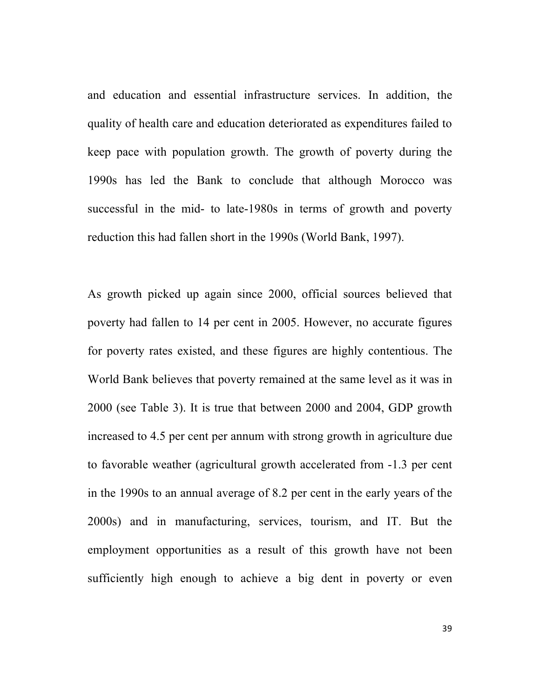and education and essential infrastructure services. In addition, the quality of health care and education deteriorated as expenditures failed to keep pace with population growth. The growth of poverty during the 1990s has led the Bank to conclude that although Morocco was successful in the mid- to late-1980s in terms of growth and poverty reduction this had fallen short in the 1990s (World Bank, 1997).

As growth picked up again since 2000, official sources believed that poverty had fallen to 14 per cent in 2005. However, no accurate figures for poverty rates existed, and these figures are highly contentious. The World Bank believes that poverty remained at the same level as it was in 2000 (see Table 3). It is true that between 2000 and 2004, GDP growth increased to 4.5 per cent per annum with strong growth in agriculture due to favorable weather (agricultural growth accelerated from -1.3 per cent in the 1990s to an annual average of 8.2 per cent in the early years of the 2000s) and in manufacturing, services, tourism, and IT. But the employment opportunities as a result of this growth have not been sufficiently high enough to achieve a big dent in poverty or even

39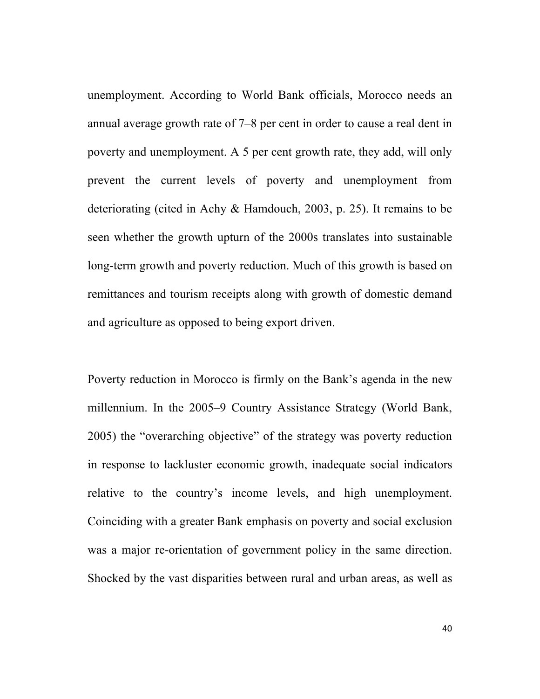unemployment. According to World Bank officials, Morocco needs an annual average growth rate of 7–8 per cent in order to cause a real dent in poverty and unemployment. A 5 per cent growth rate, they add, will only prevent the current levels of poverty and unemployment from deteriorating (cited in Achy & Hamdouch, 2003, p. 25). It remains to be seen whether the growth upturn of the 2000s translates into sustainable long-term growth and poverty reduction. Much of this growth is based on remittances and tourism receipts along with growth of domestic demand and agriculture as opposed to being export driven.

Poverty reduction in Morocco is firmly on the Bank's agenda in the new millennium. In the 2005–9 Country Assistance Strategy (World Bank, 2005) the "overarching objective" of the strategy was poverty reduction in response to lackluster economic growth, inadequate social indicators relative to the country's income levels, and high unemployment. Coinciding with a greater Bank emphasis on poverty and social exclusion was a major re-orientation of government policy in the same direction. Shocked by the vast disparities between rural and urban areas, as well as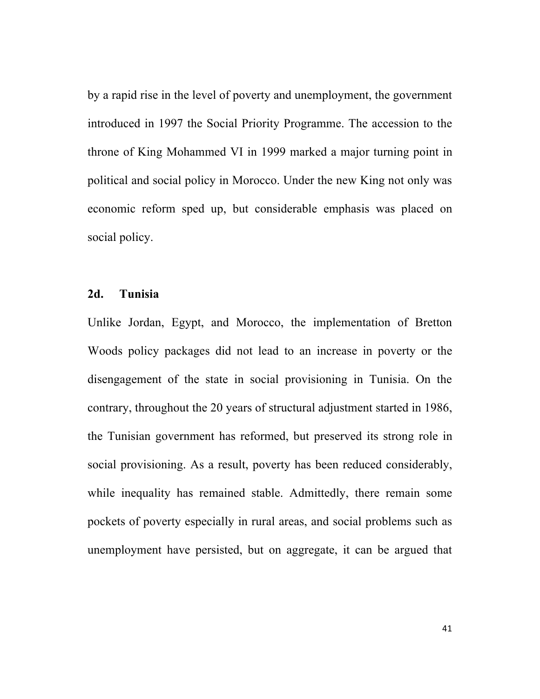by a rapid rise in the level of poverty and unemployment, the government introduced in 1997 the Social Priority Programme. The accession to the throne of King Mohammed VI in 1999 marked a major turning point in political and social policy in Morocco. Under the new King not only was economic reform sped up, but considerable emphasis was placed on social policy.

## **2d. Tunisia**

Unlike Jordan, Egypt, and Morocco, the implementation of Bretton Woods policy packages did not lead to an increase in poverty or the disengagement of the state in social provisioning in Tunisia. On the contrary, throughout the 20 years of structural adjustment started in 1986, the Tunisian government has reformed, but preserved its strong role in social provisioning. As a result, poverty has been reduced considerably, while inequality has remained stable. Admittedly, there remain some pockets of poverty especially in rural areas, and social problems such as unemployment have persisted, but on aggregate, it can be argued that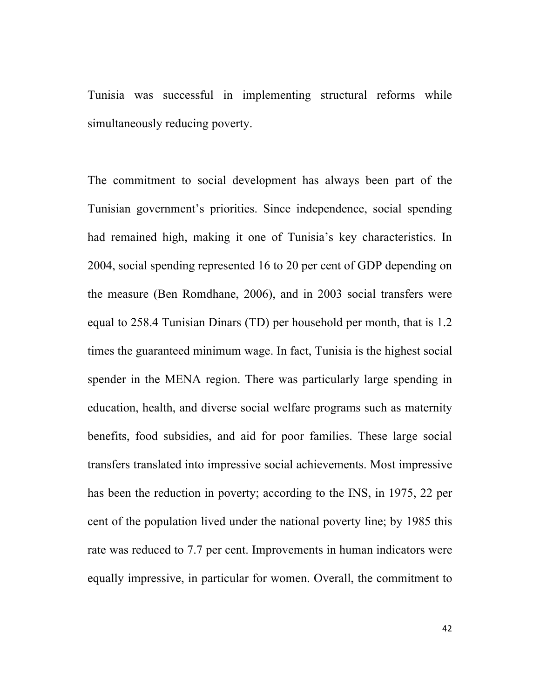Tunisia was successful in implementing structural reforms while simultaneously reducing poverty.

The commitment to social development has always been part of the Tunisian government's priorities. Since independence, social spending had remained high, making it one of Tunisia's key characteristics. In 2004, social spending represented 16 to 20 per cent of GDP depending on the measure (Ben Romdhane, 2006), and in 2003 social transfers were equal to 258.4 Tunisian Dinars (TD) per household per month, that is 1.2 times the guaranteed minimum wage. In fact, Tunisia is the highest social spender in the MENA region. There was particularly large spending in education, health, and diverse social welfare programs such as maternity benefits, food subsidies, and aid for poor families. These large social transfers translated into impressive social achievements. Most impressive has been the reduction in poverty; according to the INS, in 1975, 22 per cent of the population lived under the national poverty line; by 1985 this rate was reduced to 7.7 per cent. Improvements in human indicators were equally impressive, in particular for women. Overall, the commitment to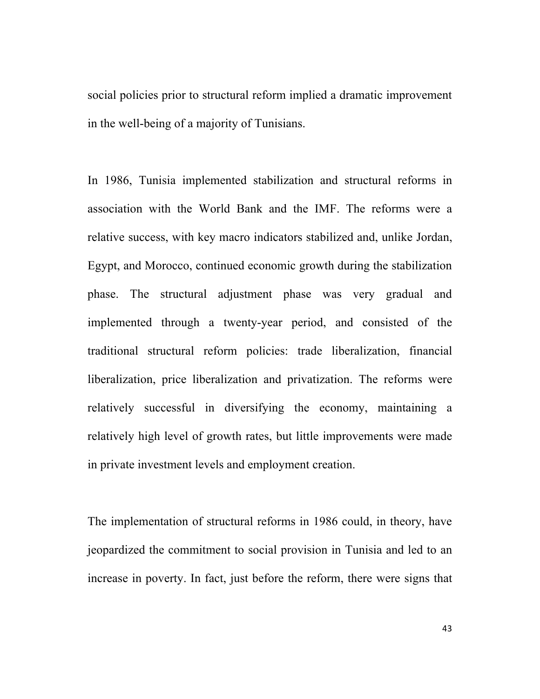social policies prior to structural reform implied a dramatic improvement in the well-being of a majority of Tunisians.

In 1986, Tunisia implemented stabilization and structural reforms in association with the World Bank and the IMF. The reforms were a relative success, with key macro indicators stabilized and, unlike Jordan, Egypt, and Morocco, continued economic growth during the stabilization phase. The structural adjustment phase was very gradual and implemented through a twenty-year period, and consisted of the traditional structural reform policies: trade liberalization, financial liberalization, price liberalization and privatization. The reforms were relatively successful in diversifying the economy, maintaining a relatively high level of growth rates, but little improvements were made in private investment levels and employment creation.

The implementation of structural reforms in 1986 could, in theory, have jeopardized the commitment to social provision in Tunisia and led to an increase in poverty. In fact, just before the reform, there were signs that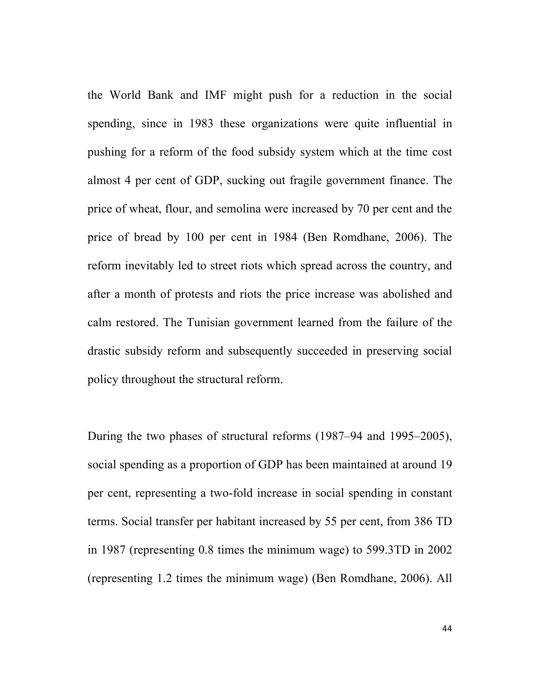the World Bank and IMF might push for a reduction in the social spending, since in 1983 these organizations were quite influential in pushing for a reform of the food subsidy system which at the time cost almost 4 per cent of GDP, sucking out fragile government finance. The price of wheat, flour, and semolina were increased by 70 per cent and the price of bread by 100 per cent in 1984 (Ben Romdhane, 2006). The reform inevitably led to street riots which spread across the country, and after a month of protests and riots the price increase was abolished and calm restored. The Tunisian government learned from the failure of the drastic subsidy reform and subsequently succeeded in preserving social policy throughout the structural reform.

During the two phases of structural reforms (1987–94 and 1995–2005), social spending as a proportion of GDP has been maintained at around 19 per cent, representing a two-fold increase in social spending in constant terms. Social transfer per habitant increased by 55 per cent, from 386 TD in 1987 (representing 0.8 times the minimum wage) to 599.3TD in 2002 (representing 1.2 times the minimum wage) (Ben Romdhane, 2006). All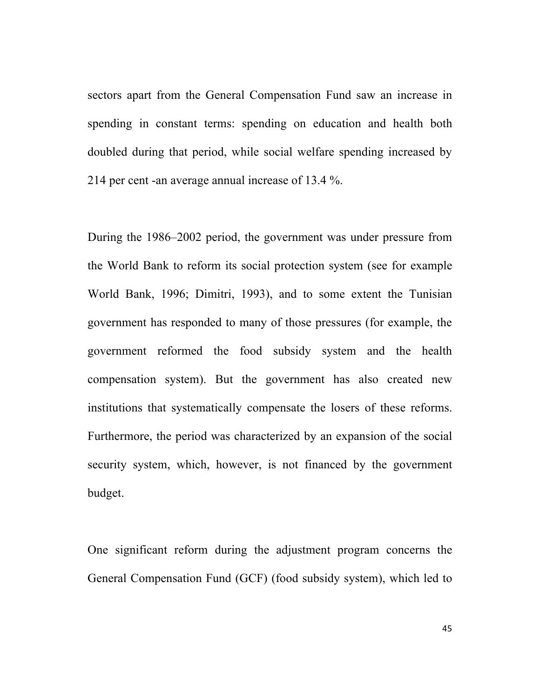sectors apart from the General Compensation Fund saw an increase in spending in constant terms: spending on education and health both doubled during that period, while social welfare spending increased by 214 per cent -an average annual increase of 13.4 %.

During the 1986–2002 period, the government was under pressure from the World Bank to reform its social protection system (see for example World Bank, 1996; Dimitri, 1993), and to some extent the Tunisian government has responded to many of those pressures (for example, the government reformed the food subsidy system and the health compensation system). But the government has also created new institutions that systematically compensate the losers of these reforms. Furthermore, the period was characterized by an expansion of the social security system, which, however, is not financed by the government budget.

One significant reform during the adjustment program concerns the General Compensation Fund (GCF) (food subsidy system), which led to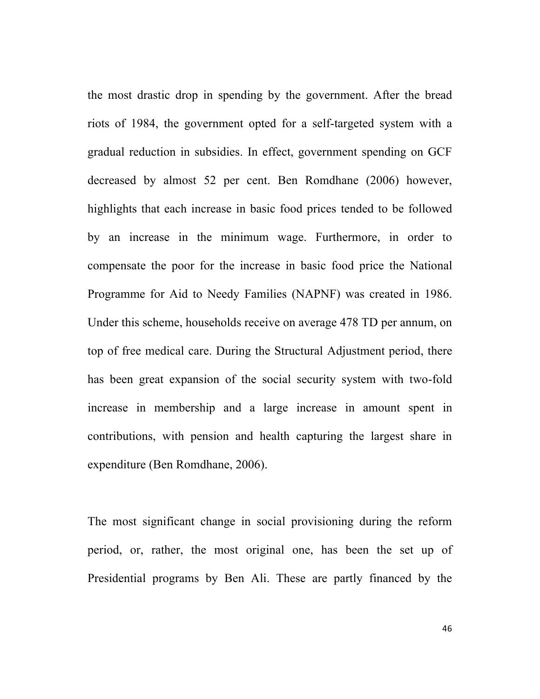the most drastic drop in spending by the government. After the bread riots of 1984, the government opted for a self-targeted system with a gradual reduction in subsidies. In effect, government spending on GCF decreased by almost 52 per cent. Ben Romdhane (2006) however, highlights that each increase in basic food prices tended to be followed by an increase in the minimum wage. Furthermore, in order to compensate the poor for the increase in basic food price the National Programme for Aid to Needy Families (NAPNF) was created in 1986. Under this scheme, households receive on average 478 TD per annum, on top of free medical care. During the Structural Adjustment period, there has been great expansion of the social security system with two-fold increase in membership and a large increase in amount spent in contributions, with pension and health capturing the largest share in expenditure (Ben Romdhane, 2006).

The most significant change in social provisioning during the reform period, or, rather, the most original one, has been the set up of Presidential programs by Ben Ali. These are partly financed by the

46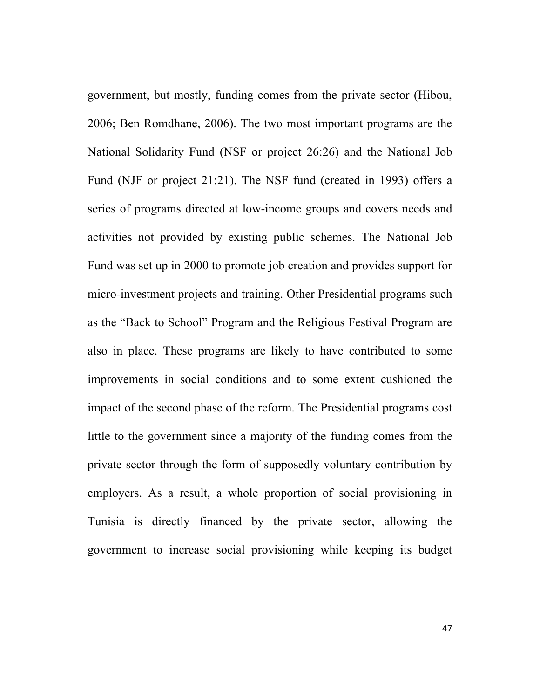government, but mostly, funding comes from the private sector (Hibou, 2006; Ben Romdhane, 2006). The two most important programs are the National Solidarity Fund (NSF or project 26:26) and the National Job Fund (NJF or project 21:21). The NSF fund (created in 1993) offers a series of programs directed at low-income groups and covers needs and activities not provided by existing public schemes. The National Job Fund was set up in 2000 to promote job creation and provides support for micro-investment projects and training. Other Presidential programs such as the "Back to School" Program and the Religious Festival Program are also in place. These programs are likely to have contributed to some improvements in social conditions and to some extent cushioned the impact of the second phase of the reform. The Presidential programs cost little to the government since a majority of the funding comes from the private sector through the form of supposedly voluntary contribution by employers. As a result, a whole proportion of social provisioning in Tunisia is directly financed by the private sector, allowing the government to increase social provisioning while keeping its budget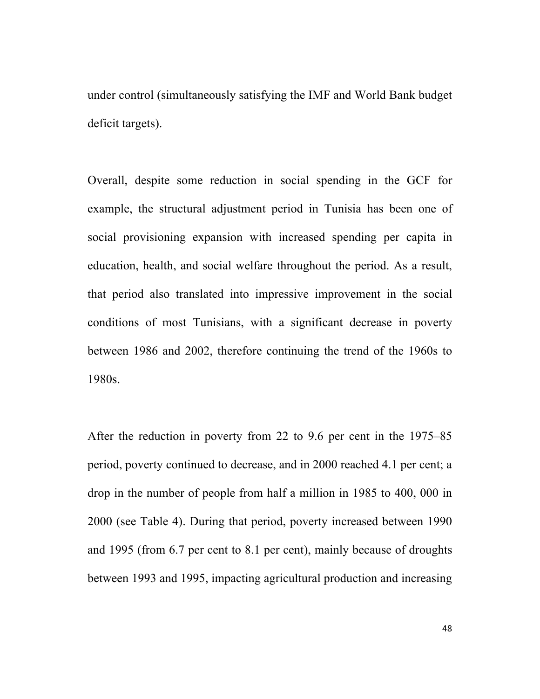under control (simultaneously satisfying the IMF and World Bank budget deficit targets).

Overall, despite some reduction in social spending in the GCF for example, the structural adjustment period in Tunisia has been one of social provisioning expansion with increased spending per capita in education, health, and social welfare throughout the period. As a result, that period also translated into impressive improvement in the social conditions of most Tunisians, with a significant decrease in poverty between 1986 and 2002, therefore continuing the trend of the 1960s to 1980s.

After the reduction in poverty from 22 to 9.6 per cent in the 1975–85 period, poverty continued to decrease, and in 2000 reached 4.1 per cent; a drop in the number of people from half a million in 1985 to 400, 000 in 2000 (see Table 4). During that period, poverty increased between 1990 and 1995 (from 6.7 per cent to 8.1 per cent), mainly because of droughts between 1993 and 1995, impacting agricultural production and increasing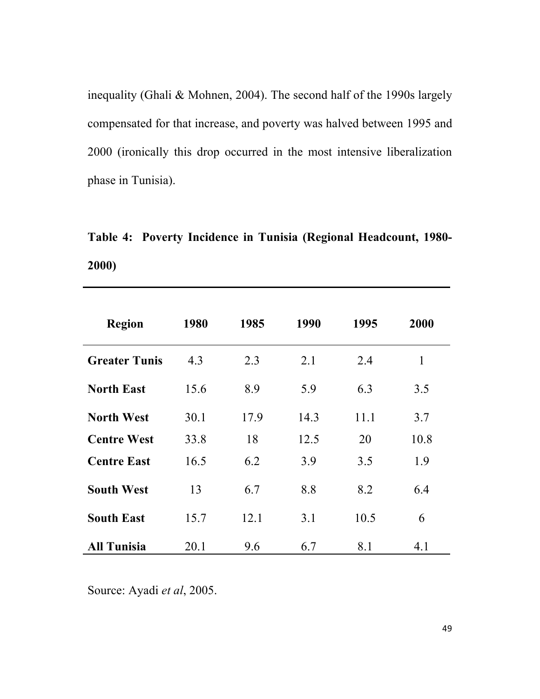inequality (Ghali & Mohnen, 2004). The second half of the 1990s largely compensated for that increase, and poverty was halved between 1995 and 2000 (ironically this drop occurred in the most intensive liberalization phase in Tunisia).

**Table 4: Poverty Incidence in Tunisia (Regional Headcount, 1980- 2000)**

| <b>Region</b>        | 1980 | 1985 | 1990 | 1995 | 2000 |
|----------------------|------|------|------|------|------|
| <b>Greater Tunis</b> | 4.3  | 2.3  | 2.1  | 2.4  | 1    |
| <b>North East</b>    | 15.6 | 8.9  | 5.9  | 6.3  | 3.5  |
| <b>North West</b>    | 30.1 | 17.9 | 14.3 | 11.1 | 3.7  |
| <b>Centre West</b>   | 33.8 | 18   | 12.5 | 20   | 10.8 |
| <b>Centre East</b>   | 16.5 | 6.2  | 3.9  | 3.5  | 1.9  |
| <b>South West</b>    | 13   | 6.7  | 8.8  | 8.2  | 6.4  |
| <b>South East</b>    | 15.7 | 12.1 | 3.1  | 10.5 | 6    |
| <b>All Tunisia</b>   | 20.1 | 9.6  | 6.7  | 8.1  | 4.1  |

Source: Ayadi *et al*, 2005.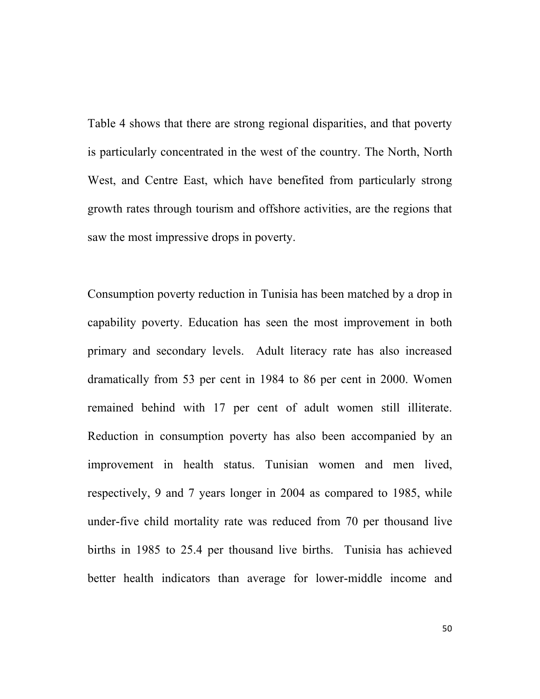Table 4 shows that there are strong regional disparities, and that poverty is particularly concentrated in the west of the country. The North, North West, and Centre East, which have benefited from particularly strong growth rates through tourism and offshore activities, are the regions that saw the most impressive drops in poverty.

Consumption poverty reduction in Tunisia has been matched by a drop in capability poverty. Education has seen the most improvement in both primary and secondary levels. Adult literacy rate has also increased dramatically from 53 per cent in 1984 to 86 per cent in 2000. Women remained behind with 17 per cent of adult women still illiterate. Reduction in consumption poverty has also been accompanied by an improvement in health status. Tunisian women and men lived, respectively, 9 and 7 years longer in 2004 as compared to 1985, while under-five child mortality rate was reduced from 70 per thousand live births in 1985 to 25.4 per thousand live births. Tunisia has achieved better health indicators than average for lower-middle income and

50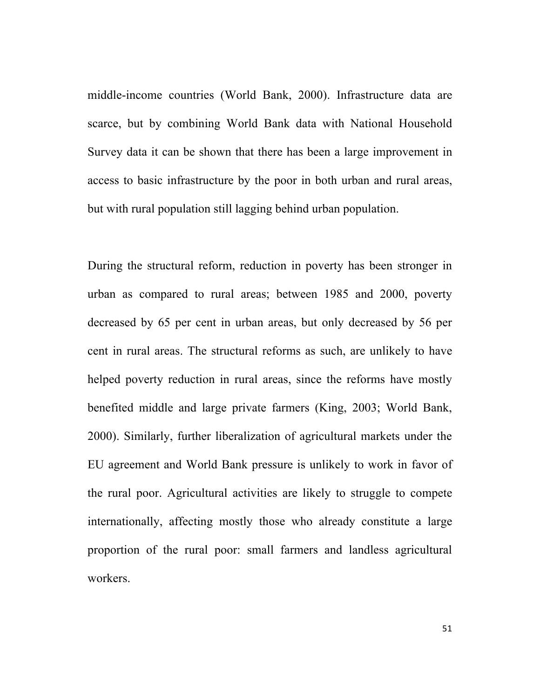middle-income countries (World Bank, 2000). Infrastructure data are scarce, but by combining World Bank data with National Household Survey data it can be shown that there has been a large improvement in access to basic infrastructure by the poor in both urban and rural areas, but with rural population still lagging behind urban population.

During the structural reform, reduction in poverty has been stronger in urban as compared to rural areas; between 1985 and 2000, poverty decreased by 65 per cent in urban areas, but only decreased by 56 per cent in rural areas. The structural reforms as such, are unlikely to have helped poverty reduction in rural areas, since the reforms have mostly benefited middle and large private farmers (King, 2003; World Bank, 2000). Similarly, further liberalization of agricultural markets under the EU agreement and World Bank pressure is unlikely to work in favor of the rural poor. Agricultural activities are likely to struggle to compete internationally, affecting mostly those who already constitute a large proportion of the rural poor: small farmers and landless agricultural workers.

51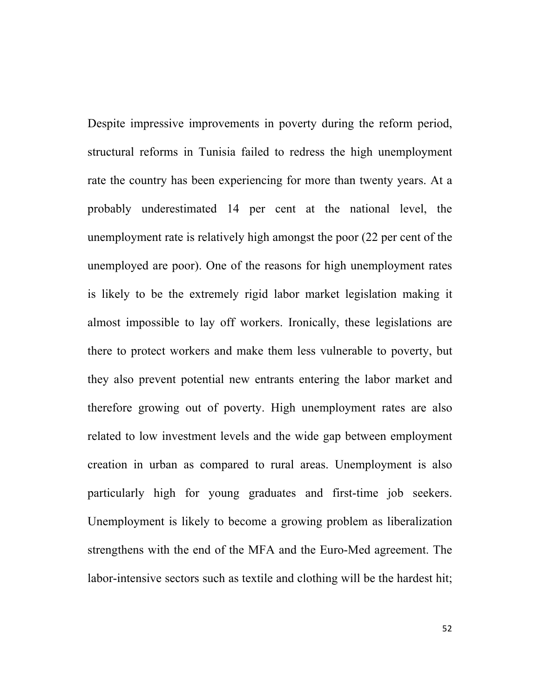Despite impressive improvements in poverty during the reform period, structural reforms in Tunisia failed to redress the high unemployment rate the country has been experiencing for more than twenty years. At a probably underestimated 14 per cent at the national level, the unemployment rate is relatively high amongst the poor (22 per cent of the unemployed are poor). One of the reasons for high unemployment rates is likely to be the extremely rigid labor market legislation making it almost impossible to lay off workers. Ironically, these legislations are there to protect workers and make them less vulnerable to poverty, but they also prevent potential new entrants entering the labor market and therefore growing out of poverty. High unemployment rates are also related to low investment levels and the wide gap between employment creation in urban as compared to rural areas. Unemployment is also particularly high for young graduates and first-time job seekers. Unemployment is likely to become a growing problem as liberalization strengthens with the end of the MFA and the Euro-Med agreement. The labor-intensive sectors such as textile and clothing will be the hardest hit;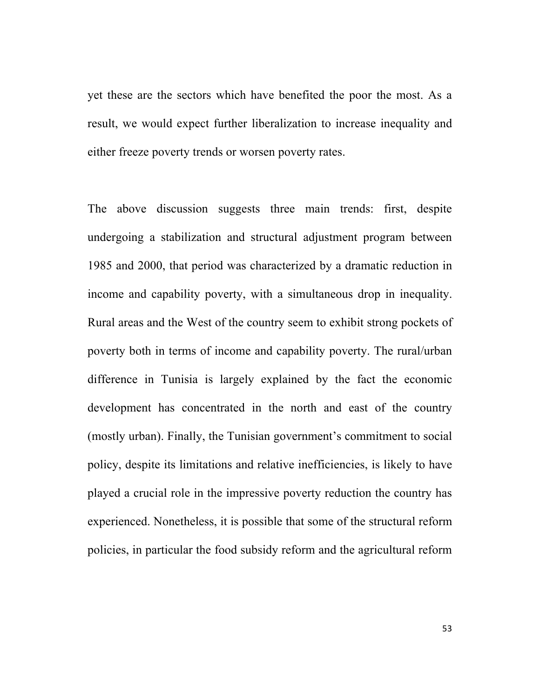yet these are the sectors which have benefited the poor the most. As a result, we would expect further liberalization to increase inequality and either freeze poverty trends or worsen poverty rates.

The above discussion suggests three main trends: first, despite undergoing a stabilization and structural adjustment program between 1985 and 2000, that period was characterized by a dramatic reduction in income and capability poverty, with a simultaneous drop in inequality. Rural areas and the West of the country seem to exhibit strong pockets of poverty both in terms of income and capability poverty. The rural/urban difference in Tunisia is largely explained by the fact the economic development has concentrated in the north and east of the country (mostly urban). Finally, the Tunisian government's commitment to social policy, despite its limitations and relative inefficiencies, is likely to have played a crucial role in the impressive poverty reduction the country has experienced. Nonetheless, it is possible that some of the structural reform policies, in particular the food subsidy reform and the agricultural reform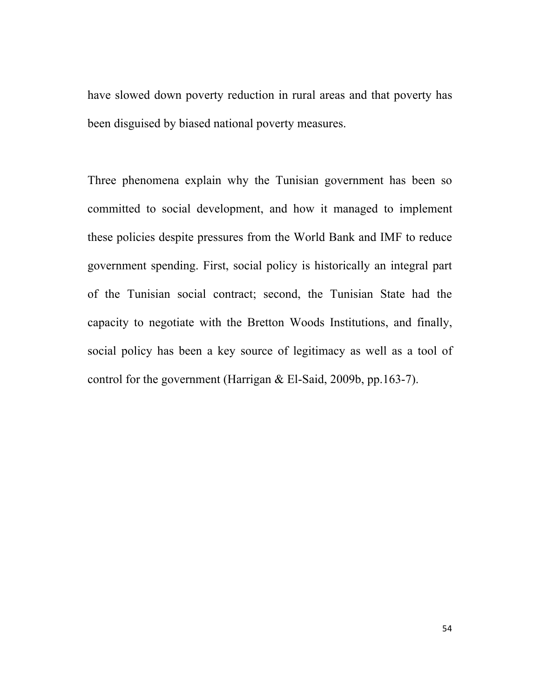have slowed down poverty reduction in rural areas and that poverty has been disguised by biased national poverty measures.

Three phenomena explain why the Tunisian government has been so committed to social development, and how it managed to implement these policies despite pressures from the World Bank and IMF to reduce government spending. First, social policy is historically an integral part of the Tunisian social contract; second, the Tunisian State had the capacity to negotiate with the Bretton Woods Institutions, and finally, social policy has been a key source of legitimacy as well as a tool of control for the government (Harrigan & El-Said, 2009b, pp.163-7).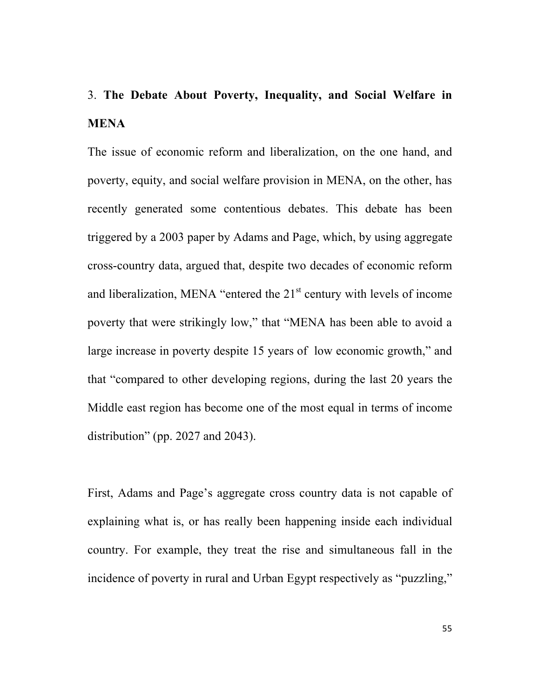## 3. **The Debate About Poverty, Inequality, and Social Welfare in MENA**

The issue of economic reform and liberalization, on the one hand, and poverty, equity, and social welfare provision in MENA, on the other, has recently generated some contentious debates. This debate has been triggered by a 2003 paper by Adams and Page, which, by using aggregate cross-country data, argued that, despite two decades of economic reform and liberalization, MENA "entered the  $21<sup>st</sup>$  century with levels of income poverty that were strikingly low," that "MENA has been able to avoid a large increase in poverty despite 15 years of low economic growth," and that "compared to other developing regions, during the last 20 years the Middle east region has become one of the most equal in terms of income distribution" (pp. 2027 and 2043).

First, Adams and Page's aggregate cross country data is not capable of explaining what is, or has really been happening inside each individual country. For example, they treat the rise and simultaneous fall in the incidence of poverty in rural and Urban Egypt respectively as "puzzling,"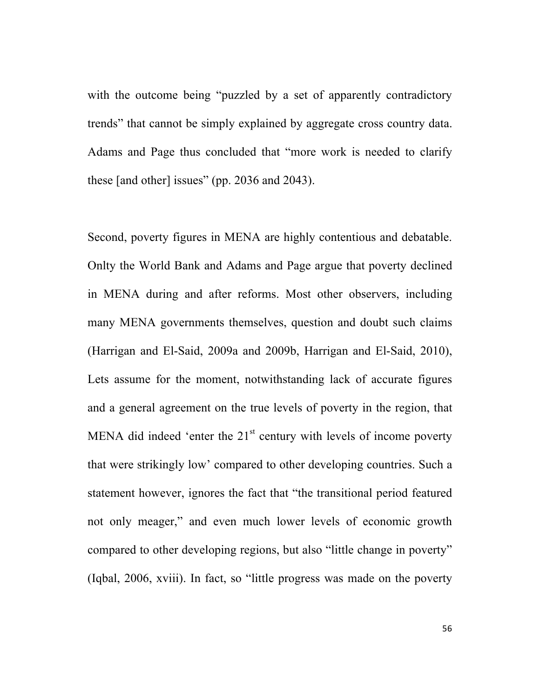with the outcome being "puzzled by a set of apparently contradictory trends" that cannot be simply explained by aggregate cross country data. Adams and Page thus concluded that "more work is needed to clarify these [and other] issues" (pp. 2036 and 2043).

Second, poverty figures in MENA are highly contentious and debatable. Onlty the World Bank and Adams and Page argue that poverty declined in MENA during and after reforms. Most other observers, including many MENA governments themselves, question and doubt such claims (Harrigan and El-Said, 2009a and 2009b, Harrigan and El-Said, 2010), Lets assume for the moment, notwithstanding lack of accurate figures and a general agreement on the true levels of poverty in the region, that MENA did indeed 'enter the  $21<sup>st</sup>$  century with levels of income poverty that were strikingly low' compared to other developing countries. Such a statement however, ignores the fact that "the transitional period featured not only meager," and even much lower levels of economic growth compared to other developing regions, but also "little change in poverty" (Iqbal, 2006, xviii). In fact, so "little progress was made on the poverty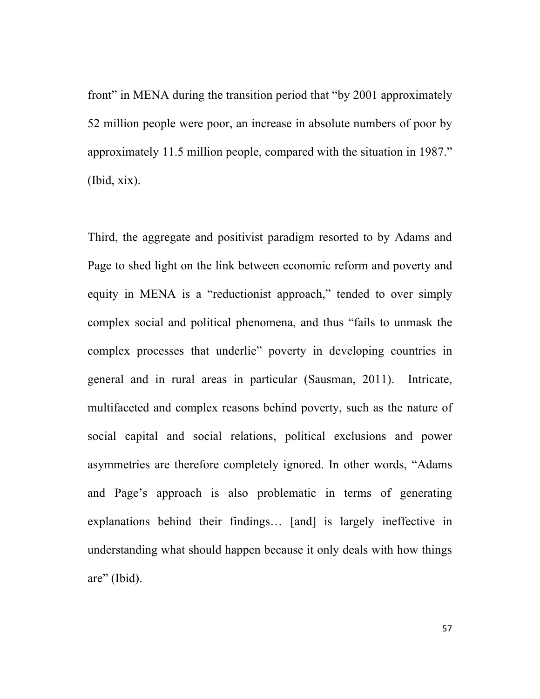front" in MENA during the transition period that "by 2001 approximately 52 million people were poor, an increase in absolute numbers of poor by approximately 11.5 million people, compared with the situation in 1987." (Ibid, xix).

Third, the aggregate and positivist paradigm resorted to by Adams and Page to shed light on the link between economic reform and poverty and equity in MENA is a "reductionist approach," tended to over simply complex social and political phenomena, and thus "fails to unmask the complex processes that underlie" poverty in developing countries in general and in rural areas in particular (Sausman, 2011). Intricate, multifaceted and complex reasons behind poverty, such as the nature of social capital and social relations, political exclusions and power asymmetries are therefore completely ignored. In other words, "Adams and Page's approach is also problematic in terms of generating explanations behind their findings… [and] is largely ineffective in understanding what should happen because it only deals with how things are" (Ibid).

57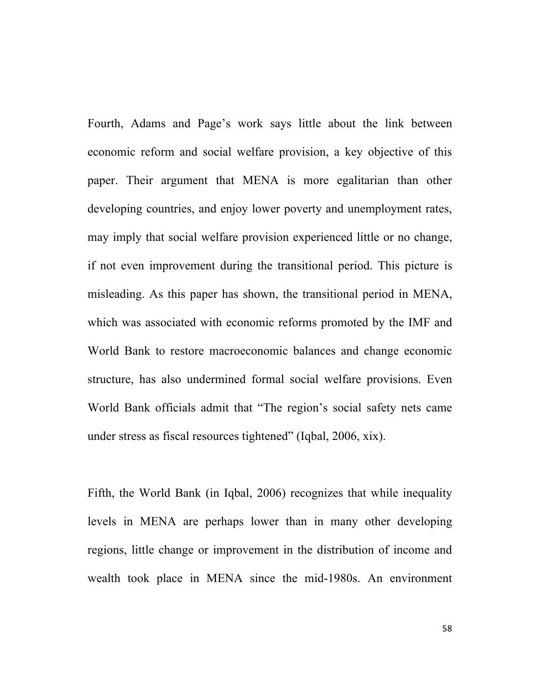Fourth, Adams and Page's work says little about the link between economic reform and social welfare provision, a key objective of this paper. Their argument that MENA is more egalitarian than other developing countries, and enjoy lower poverty and unemployment rates, may imply that social welfare provision experienced little or no change, if not even improvement during the transitional period. This picture is misleading. As this paper has shown, the transitional period in MENA, which was associated with economic reforms promoted by the IMF and World Bank to restore macroeconomic balances and change economic structure, has also undermined formal social welfare provisions. Even World Bank officials admit that "The region's social safety nets came under stress as fiscal resources tightened" (Iqbal, 2006, xix).

Fifth, the World Bank (in Iqbal, 2006) recognizes that while inequality levels in MENA are perhaps lower than in many other developing regions, little change or improvement in the distribution of income and wealth took place in MENA since the mid-1980s. An environment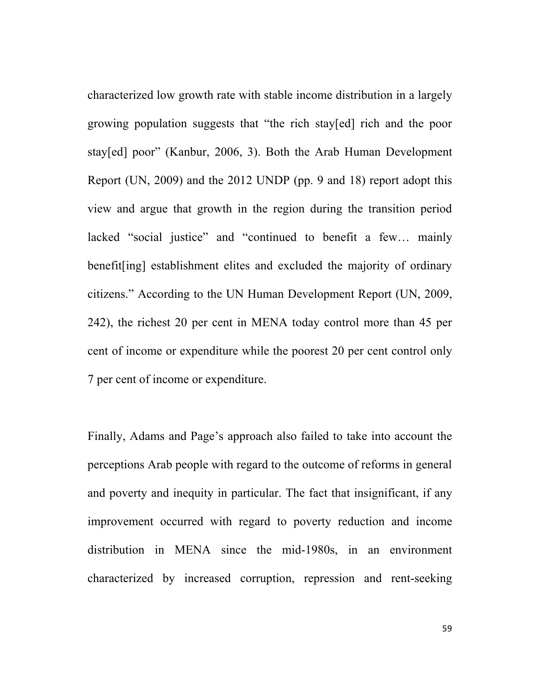characterized low growth rate with stable income distribution in a largely growing population suggests that "the rich stay[ed] rich and the poor stay[ed] poor" (Kanbur, 2006, 3). Both the Arab Human Development Report (UN, 2009) and the 2012 UNDP (pp. 9 and 18) report adopt this view and argue that growth in the region during the transition period lacked "social justice" and "continued to benefit a few… mainly benefit[ing] establishment elites and excluded the majority of ordinary citizens." According to the UN Human Development Report (UN, 2009, 242), the richest 20 per cent in MENA today control more than 45 per cent of income or expenditure while the poorest 20 per cent control only 7 per cent of income or expenditure.

Finally, Adams and Page's approach also failed to take into account the perceptions Arab people with regard to the outcome of reforms in general and poverty and inequity in particular. The fact that insignificant, if any improvement occurred with regard to poverty reduction and income distribution in MENA since the mid-1980s, in an environment characterized by increased corruption, repression and rent-seeking

59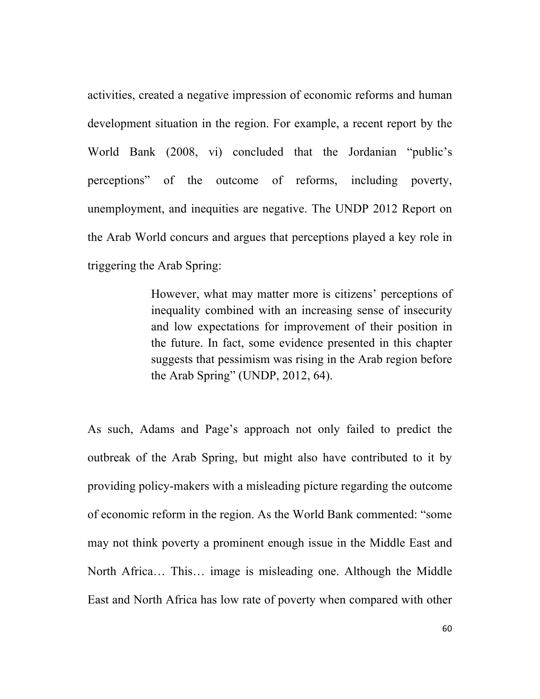activities, created a negative impression of economic reforms and human development situation in the region. For example, a recent report by the World Bank (2008, vi) concluded that the Jordanian "public's perceptions" of the outcome of reforms, including poverty, unemployment, and inequities are negative. The UNDP 2012 Report on the Arab World concurs and argues that perceptions played a key role in triggering the Arab Spring:

> However, what may matter more is citizens' perceptions of inequality combined with an increasing sense of insecurity and low expectations for improvement of their position in the future. In fact, some evidence presented in this chapter suggests that pessimism was rising in the Arab region before the Arab Spring" (UNDP, 2012, 64).

As such, Adams and Page's approach not only failed to predict the outbreak of the Arab Spring, but might also have contributed to it by providing policy-makers with a misleading picture regarding the outcome of economic reform in the region. As the World Bank commented: "some may not think poverty a prominent enough issue in the Middle East and North Africa… This… image is misleading one. Although the Middle East and North Africa has low rate of poverty when compared with other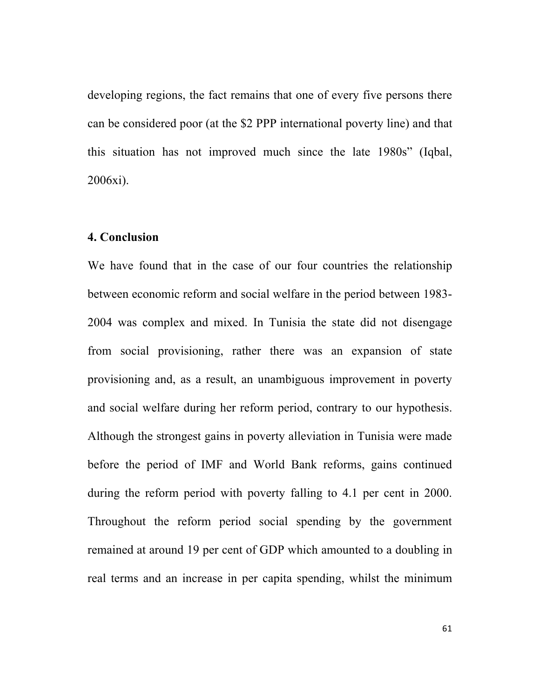developing regions, the fact remains that one of every five persons there can be considered poor (at the \$2 PPP international poverty line) and that this situation has not improved much since the late 1980s" (Iqbal, 2006xi).

## **4. Conclusion**

We have found that in the case of our four countries the relationship between economic reform and social welfare in the period between 1983- 2004 was complex and mixed. In Tunisia the state did not disengage from social provisioning, rather there was an expansion of state provisioning and, as a result, an unambiguous improvement in poverty and social welfare during her reform period, contrary to our hypothesis. Although the strongest gains in poverty alleviation in Tunisia were made before the period of IMF and World Bank reforms, gains continued during the reform period with poverty falling to 4.1 per cent in 2000. Throughout the reform period social spending by the government remained at around 19 per cent of GDP which amounted to a doubling in real terms and an increase in per capita spending, whilst the minimum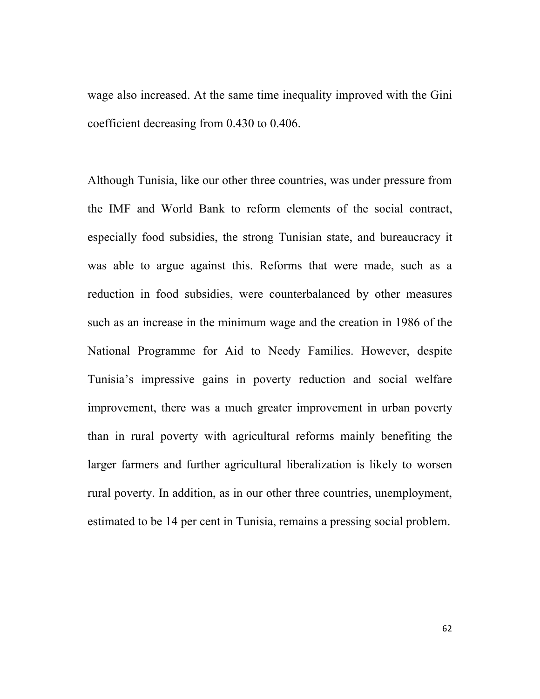wage also increased. At the same time inequality improved with the Gini coefficient decreasing from 0.430 to 0.406.

Although Tunisia, like our other three countries, was under pressure from the IMF and World Bank to reform elements of the social contract, especially food subsidies, the strong Tunisian state, and bureaucracy it was able to argue against this. Reforms that were made, such as a reduction in food subsidies, were counterbalanced by other measures such as an increase in the minimum wage and the creation in 1986 of the National Programme for Aid to Needy Families. However, despite Tunisia's impressive gains in poverty reduction and social welfare improvement, there was a much greater improvement in urban poverty than in rural poverty with agricultural reforms mainly benefiting the larger farmers and further agricultural liberalization is likely to worsen rural poverty. In addition, as in our other three countries, unemployment, estimated to be 14 per cent in Tunisia, remains a pressing social problem.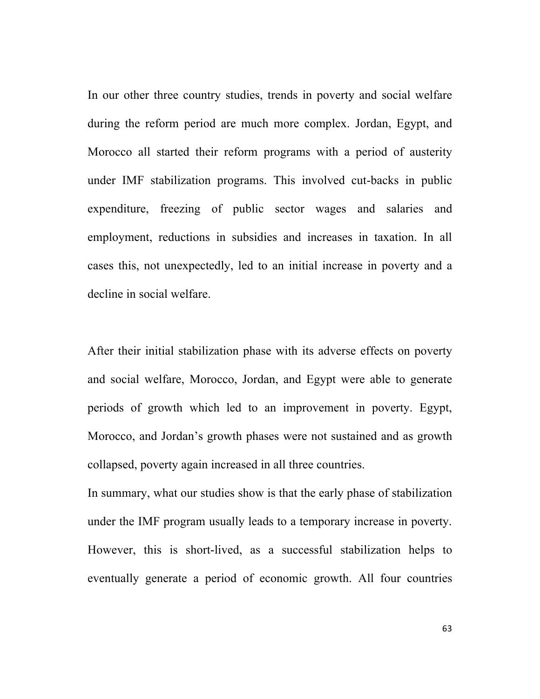In our other three country studies, trends in poverty and social welfare during the reform period are much more complex. Jordan, Egypt, and Morocco all started their reform programs with a period of austerity under IMF stabilization programs. This involved cut-backs in public expenditure, freezing of public sector wages and salaries and employment, reductions in subsidies and increases in taxation. In all cases this, not unexpectedly, led to an initial increase in poverty and a decline in social welfare.

After their initial stabilization phase with its adverse effects on poverty and social welfare, Morocco, Jordan, and Egypt were able to generate periods of growth which led to an improvement in poverty. Egypt, Morocco, and Jordan's growth phases were not sustained and as growth collapsed, poverty again increased in all three countries.

In summary, what our studies show is that the early phase of stabilization under the IMF program usually leads to a temporary increase in poverty. However, this is short-lived, as a successful stabilization helps to eventually generate a period of economic growth. All four countries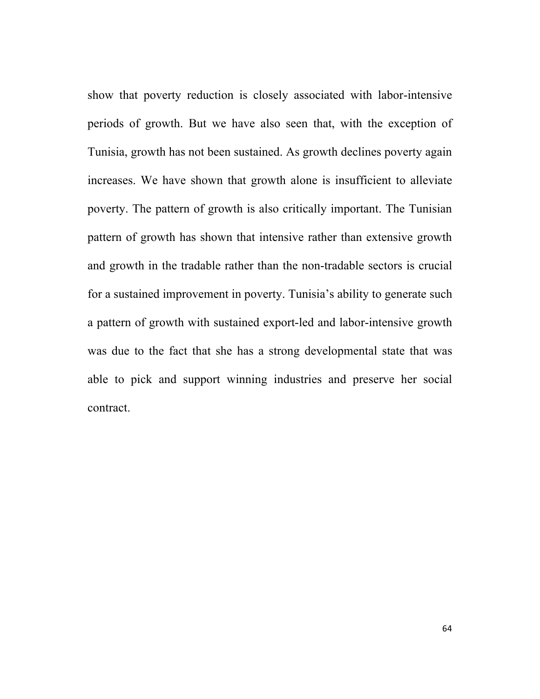show that poverty reduction is closely associated with labor-intensive periods of growth. But we have also seen that, with the exception of Tunisia, growth has not been sustained. As growth declines poverty again increases. We have shown that growth alone is insufficient to alleviate poverty. The pattern of growth is also critically important. The Tunisian pattern of growth has shown that intensive rather than extensive growth and growth in the tradable rather than the non-tradable sectors is crucial for a sustained improvement in poverty. Tunisia's ability to generate such a pattern of growth with sustained export-led and labor-intensive growth was due to the fact that she has a strong developmental state that was able to pick and support winning industries and preserve her social contract.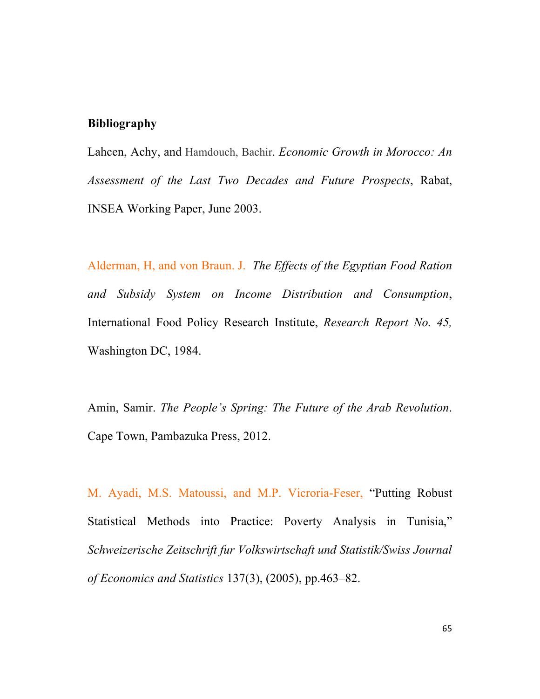## **Bibliography**

Lahcen, Achy, and Hamdouch, Bachir. *Economic Growth in Morocco: An Assessment of the Last Two Decades and Future Prospects*, Rabat, INSEA Working Paper, June 2003.

Alderman, H, and von Braun. J. *The Effects of the Egyptian Food Ration and Subsidy System on Income Distribution and Consumption*, International Food Policy Research Institute, *Research Report No. 45,*  Washington DC, 1984.

Amin, Samir. *The People's Spring: The Future of the Arab Revolution*. Cape Town, Pambazuka Press, 2012.

M. Ayadi, M.S. Matoussi, and M.P. Vicroria-Feser, "Putting Robust Statistical Methods into Practice: Poverty Analysis in Tunisia," *Schweizerische Zeitschrift fur Volkswirtschaft und Statistik/Swiss Journal of Economics and Statistics* 137(3), (2005), pp.463–82.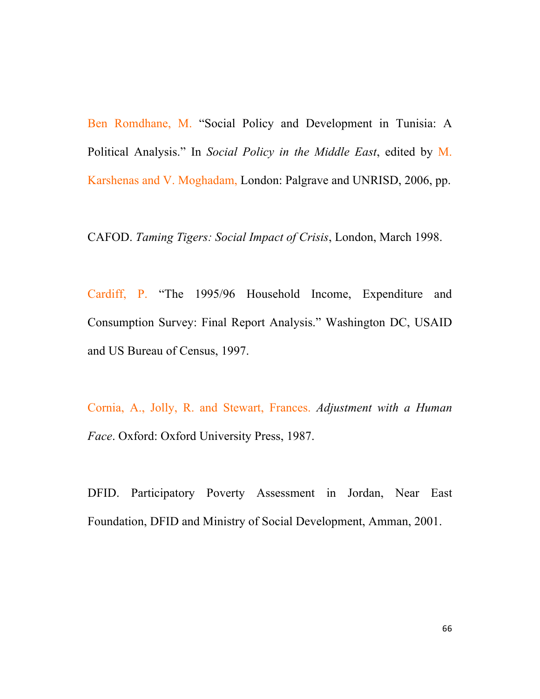Ben Romdhane, M. "Social Policy and Development in Tunisia: A Political Analysis." In *Social Policy in the Middle East*, edited by M. Karshenas and V. Moghadam, London: Palgrave and UNRISD, 2006, pp.

CAFOD. *Taming Tigers: Social Impact of Crisis*, London, March 1998.

Cardiff, P. "The 1995/96 Household Income, Expenditure and Consumption Survey: Final Report Analysis." Washington DC, USAID and US Bureau of Census, 1997.

Cornia, A., Jolly, R. and Stewart, Frances. *Adjustment with a Human Face*. Oxford: Oxford University Press, 1987.

DFID. Participatory Poverty Assessment in Jordan, Near East Foundation, DFID and Ministry of Social Development, Amman, 2001.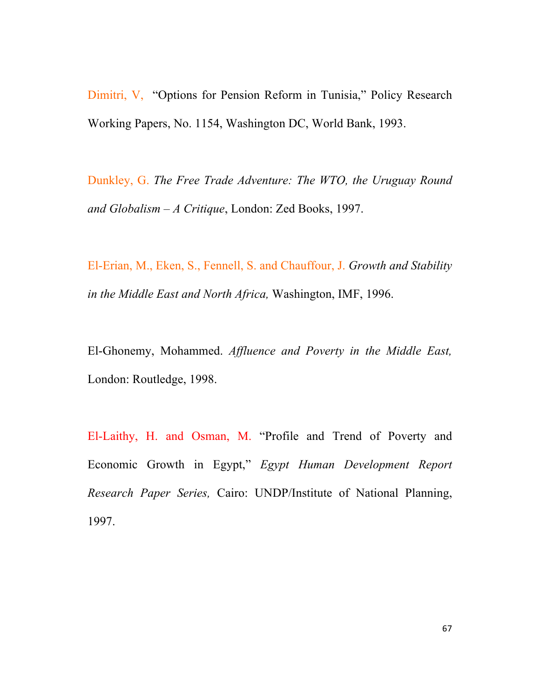Dimitri, V, "Options for Pension Reform in Tunisia," Policy Research Working Papers, No. 1154, Washington DC, World Bank, 1993.

Dunkley, G. *The Free Trade Adventure: The WTO, the Uruguay Round and Globalism – A Critique*, London: Zed Books, 1997.

El-Erian, M., Eken, S., Fennell, S. and Chauffour, J. *Growth and Stability in the Middle East and North Africa,* Washington, IMF, 1996.

El-Ghonemy, Mohammed. *Affluence and Poverty in the Middle East,*  London: Routledge, 1998.

El-Laithy, H. and Osman, M. "Profile and Trend of Poverty and Economic Growth in Egypt," *Egypt Human Development Report Research Paper Series,* Cairo: UNDP/Institute of National Planning, 1997.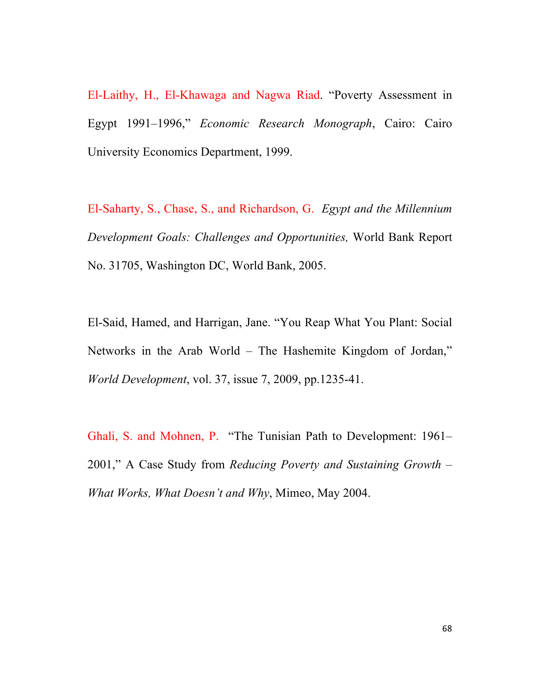El-Laithy, H., El-Khawaga and Nagwa Riad. "Poverty Assessment in Egypt 1991–1996," *Economic Research Monograph*, Cairo: Cairo University Economics Department, 1999.

El-Saharty, S., Chase, S., and Richardson, G. *Egypt and the Millennium Development Goals: Challenges and Opportunities,* World Bank Report No. 31705, Washington DC, World Bank, 2005.

El-Said, Hamed, and Harrigan, Jane. "You Reap What You Plant: Social Networks in the Arab World – The Hashemite Kingdom of Jordan," *World Development*, vol. 37, issue 7, 2009, pp.1235-41.

Ghali, S. and Mohnen, P. "The Tunisian Path to Development: 1961– 2001," A Case Study from *Reducing Poverty and Sustaining Growth – What Works, What Doesn't and Why*, Mimeo, May 2004.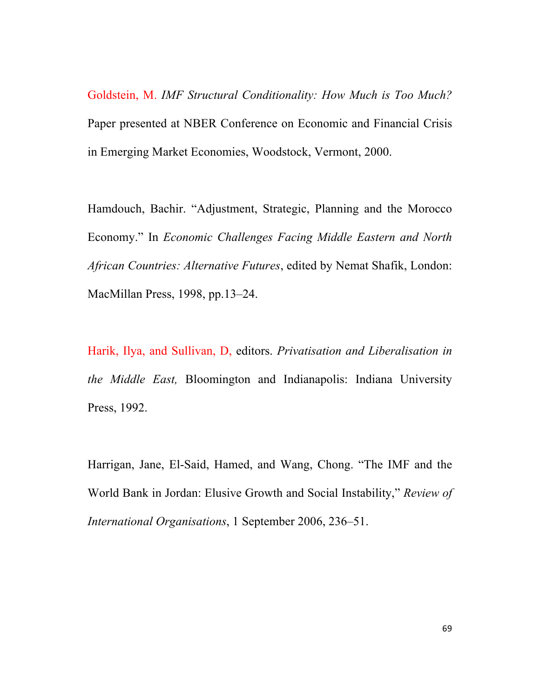Goldstein, M. *IMF Structural Conditionality: How Much is Too Much?*  Paper presented at NBER Conference on Economic and Financial Crisis in Emerging Market Economies, Woodstock, Vermont, 2000.

Hamdouch, Bachir. "Adjustment, Strategic, Planning and the Morocco Economy." In *Economic Challenges Facing Middle Eastern and North African Countries: Alternative Futures*, edited by Nemat Shafik, London: MacMillan Press, 1998, pp.13–24.

Harik, Ilya, and Sullivan, D, editors. *Privatisation and Liberalisation in the Middle East,* Bloomington and Indianapolis: Indiana University Press, 1992.

Harrigan, Jane, El-Said, Hamed, and Wang, Chong. "The IMF and the World Bank in Jordan: Elusive Growth and Social Instability," *Review of International Organisations*, 1 September 2006, 236–51.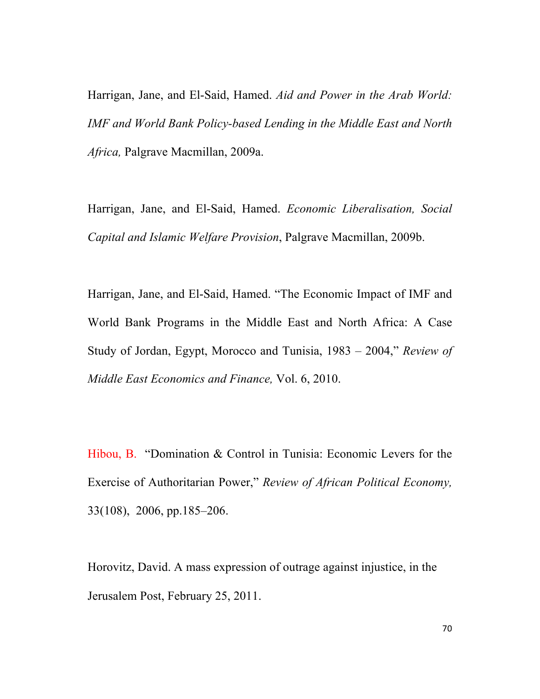Harrigan, Jane, and El-Said, Hamed. *Aid and Power in the Arab World: IMF and World Bank Policy-based Lending in the Middle East and North Africa,* Palgrave Macmillan, 2009a.

Harrigan, Jane, and El-Said, Hamed. *Economic Liberalisation, Social Capital and Islamic Welfare Provision*, Palgrave Macmillan, 2009b.

Harrigan, Jane, and El-Said, Hamed. "The Economic Impact of IMF and World Bank Programs in the Middle East and North Africa: A Case Study of Jordan, Egypt, Morocco and Tunisia, 1983 – 2004," *Review of Middle East Economics and Finance,* Vol. 6, 2010.

Hibou, B. "Domination & Control in Tunisia: Economic Levers for the Exercise of Authoritarian Power," *Review of African Political Economy,*  33(108), 2006, pp.185–206.

Horovitz, David. A mass expression of outrage against injustice, in the Jerusalem Post, February 25, 2011.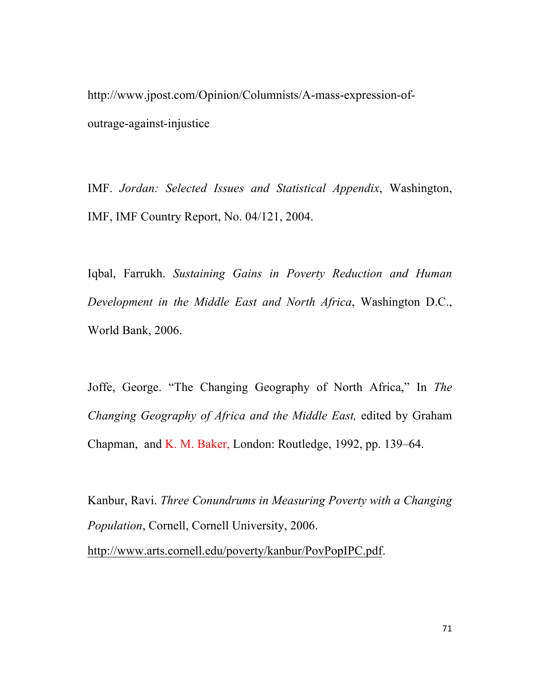http://www.jpost.com/Opinion/Columnists/A-mass-expression-ofoutrage-against-injustice

IMF. *Jordan: Selected Issues and Statistical Appendix*, Washington, IMF, IMF Country Report, No. 04/121, 2004.

Iqbal, Farrukh. *Sustaining Gains in Poverty Reduction and Human Development in the Middle East and North Africa*, Washington D.C., World Bank, 2006.

Joffe, George. "The Changing Geography of North Africa," In *The Changing Geography of Africa and the Middle East,* edited by Graham Chapman, and K. M. Baker, London: Routledge, 1992, pp. 139–64.

Kanbur, Ravi. *Three Conundrums in Measuring Poverty with a Changing Population*, Cornell, Cornell University, 2006. http://www.arts.cornell.edu/poverty/kanbur/PovPopIPC.pdf.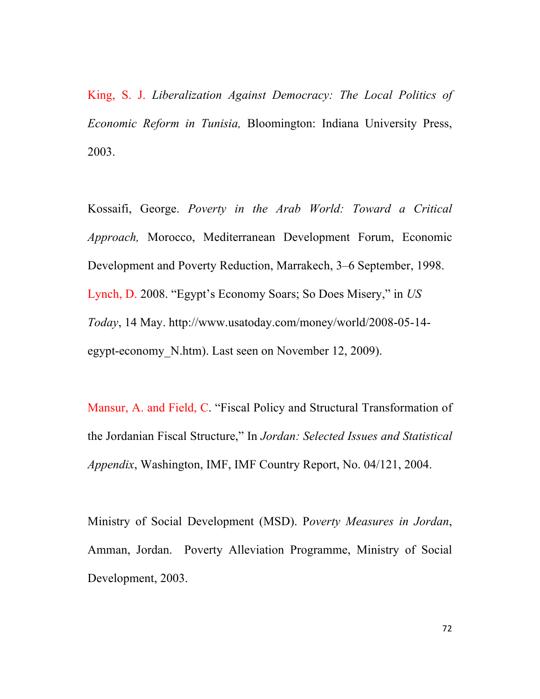King, S. J. *Liberalization Against Democracy: The Local Politics of Economic Reform in Tunisia,* Bloomington: Indiana University Press, 2003.

Kossaifi, George. *Poverty in the Arab World: Toward a Critical Approach,* Morocco, Mediterranean Development Forum, Economic Development and Poverty Reduction, Marrakech, 3–6 September, 1998. Lynch, D. 2008. "Egypt's Economy Soars; So Does Misery," in *US Today*, 14 May. http://www.usatoday.com/money/world/2008-05-14 egypt-economy\_N.htm). Last seen on November 12, 2009).

Mansur, A. and Field, C. "Fiscal Policy and Structural Transformation of the Jordanian Fiscal Structure," In *Jordan: Selected Issues and Statistical Appendix*, Washington, IMF, IMF Country Report, No. 04/121, 2004.

Ministry of Social Development (MSD). P*overty Measures in Jordan*, Amman, Jordan. Poverty Alleviation Programme, Ministry of Social Development, 2003.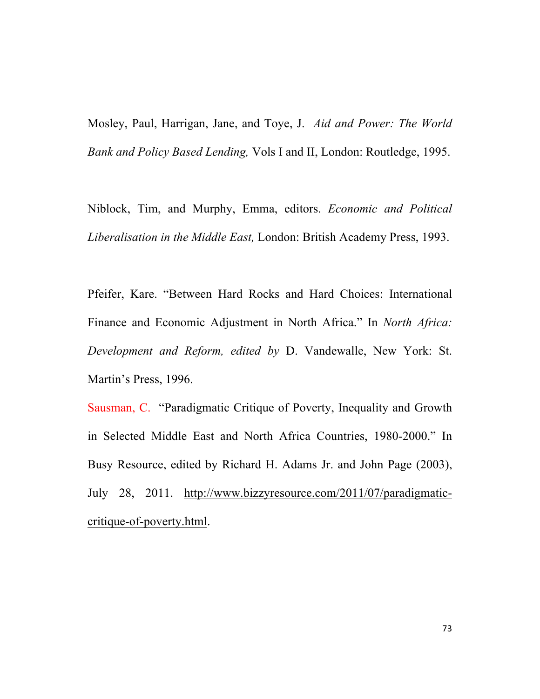Mosley, Paul, Harrigan, Jane, and Toye, J. *Aid and Power: The World Bank and Policy Based Lending,* Vols I and II, London: Routledge, 1995.

Niblock, Tim, and Murphy, Emma, editors. *Economic and Political Liberalisation in the Middle East,* London: British Academy Press, 1993.

Pfeifer, Kare. "Between Hard Rocks and Hard Choices: International Finance and Economic Adjustment in North Africa." In *North Africa: Development and Reform, edited by* D. Vandewalle, New York: St. Martin's Press, 1996.

Sausman, C. "Paradigmatic Critique of Poverty, Inequality and Growth in Selected Middle East and North Africa Countries, 1980-2000." In Busy Resource, edited by Richard H. Adams Jr. and John Page (2003), July 28, 2011. http://www.bizzyresource.com/2011/07/paradigmaticcritique-of-poverty.html.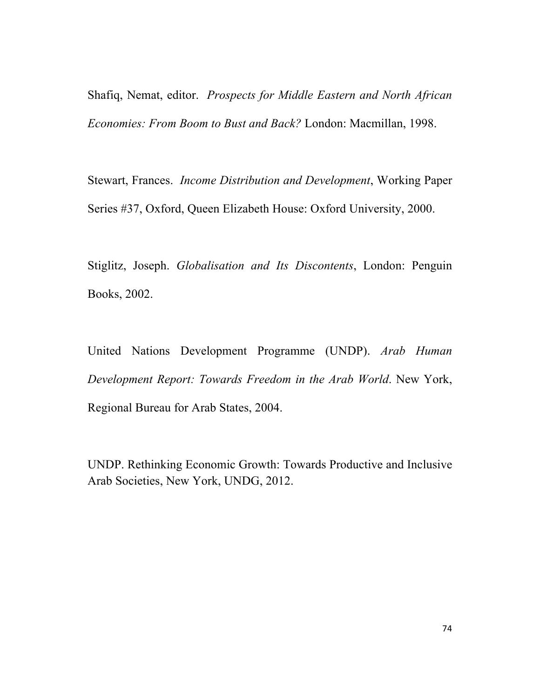Shafiq, Nemat, editor. *Prospects for Middle Eastern and North African Economies: From Boom to Bust and Back?* London: Macmillan, 1998.

Stewart, Frances. *Income Distribution and Development*, Working Paper Series #37, Oxford, Queen Elizabeth House: Oxford University, 2000.

Stiglitz, Joseph. *Globalisation and Its Discontents*, London: Penguin Books, 2002.

United Nations Development Programme (UNDP). *Arab Human Development Report: Towards Freedom in the Arab World*. New York, Regional Bureau for Arab States, 2004.

UNDP. Rethinking Economic Growth: Towards Productive and Inclusive Arab Societies, New York, UNDG, 2012.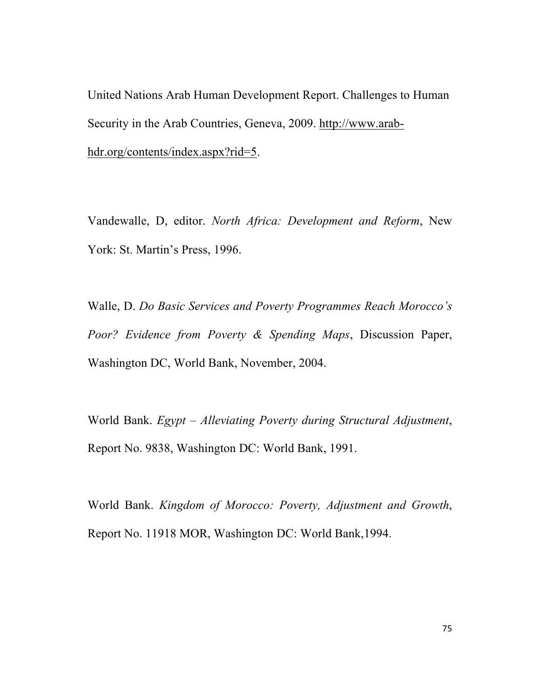United Nations Arab Human Development Report. Challenges to Human Security in the Arab Countries, Geneva, 2009. http://www.arabhdr.org/contents/index.aspx?rid=5.

Vandewalle, D, editor. *North Africa: Development and Reform*, New York: St. Martin's Press, 1996.

Walle, D. *Do Basic Services and Poverty Programmes Reach Morocco's Poor? Evidence from Poverty & Spending Maps*, Discussion Paper, Washington DC, World Bank, November, 2004.

World Bank. *Egypt – Alleviating Poverty during Structural Adjustment*, Report No. 9838, Washington DC: World Bank, 1991.

World Bank. *Kingdom of Morocco: Poverty, Adjustment and Growth*, Report No. 11918 MOR, Washington DC: World Bank,1994.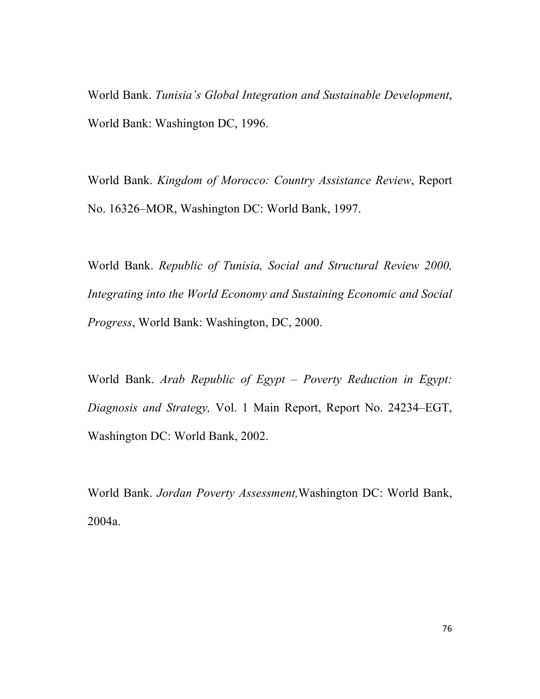World Bank. *Tunisia's Global Integration and Sustainable Development*, World Bank: Washington DC, 1996.

World Bank. *Kingdom of Morocco: Country Assistance Review*, Report No. 16326–MOR, Washington DC: World Bank, 1997.

World Bank. *Republic of Tunisia, Social and Structural Review 2000, Integrating into the World Economy and Sustaining Economic and Social Progress*, World Bank: Washington, DC, 2000.

World Bank. *Arab Republic of Egypt – Poverty Reduction in Egypt: Diagnosis and Strategy,* Vol. 1 Main Report, Report No. 24234–EGT, Washington DC: World Bank, 2002.

World Bank. *Jordan Poverty Assessment,*Washington DC: World Bank, 2004a.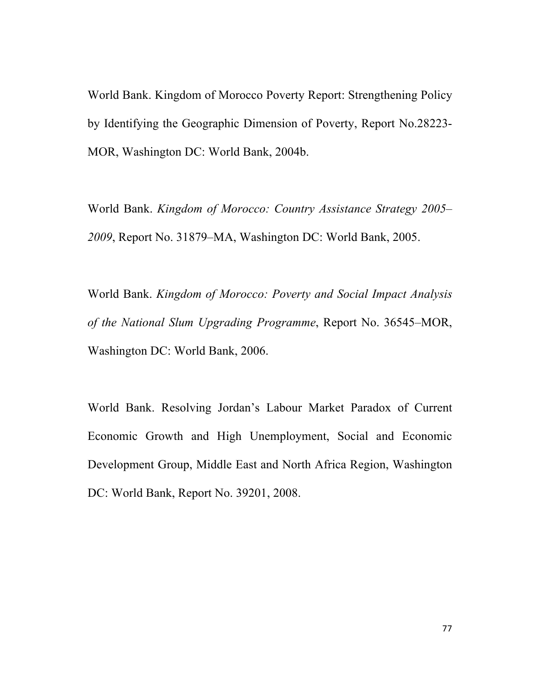World Bank. Kingdom of Morocco Poverty Report: Strengthening Policy by Identifying the Geographic Dimension of Poverty, Report No.28223- MOR, Washington DC: World Bank, 2004b.

World Bank. *Kingdom of Morocco: Country Assistance Strategy 2005– 2009*, Report No. 31879–MA, Washington DC: World Bank, 2005.

World Bank. *Kingdom of Morocco: Poverty and Social Impact Analysis of the National Slum Upgrading Programme*, Report No. 36545–MOR, Washington DC: World Bank, 2006.

World Bank. Resolving Jordan's Labour Market Paradox of Current Economic Growth and High Unemployment, Social and Economic Development Group, Middle East and North Africa Region, Washington DC: World Bank, Report No. 39201, 2008.